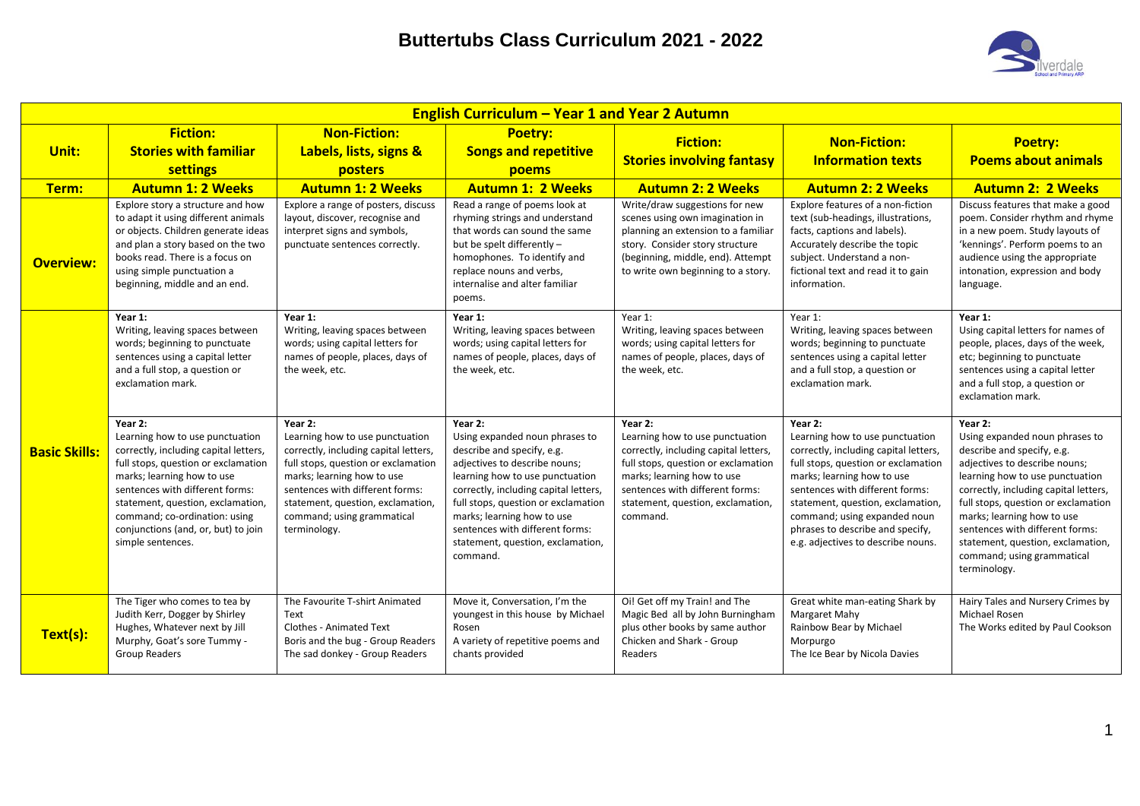

|                      |                                                                                                                                                                                                                                                                                                                               |                                                                                                                                                                                                                                                                                | <b>English Curriculum - Year 1 and Year 2 Autumn</b>                                                                                                                                                                                                                                                                                          |                                                                                                                                                                                                                                              |                                                                                                                                                                                                                                                                                                                                            |                                                                                                                                                                                                                                                                                                                                                                                 |
|----------------------|-------------------------------------------------------------------------------------------------------------------------------------------------------------------------------------------------------------------------------------------------------------------------------------------------------------------------------|--------------------------------------------------------------------------------------------------------------------------------------------------------------------------------------------------------------------------------------------------------------------------------|-----------------------------------------------------------------------------------------------------------------------------------------------------------------------------------------------------------------------------------------------------------------------------------------------------------------------------------------------|----------------------------------------------------------------------------------------------------------------------------------------------------------------------------------------------------------------------------------------------|--------------------------------------------------------------------------------------------------------------------------------------------------------------------------------------------------------------------------------------------------------------------------------------------------------------------------------------------|---------------------------------------------------------------------------------------------------------------------------------------------------------------------------------------------------------------------------------------------------------------------------------------------------------------------------------------------------------------------------------|
| Unit:                | <b>Fiction:</b><br><b>Stories with familiar</b><br>settings                                                                                                                                                                                                                                                                   | <b>Non-Fiction:</b><br>Labels, lists, signs &<br>posters                                                                                                                                                                                                                       | <b>Poetry:</b><br><b>Songs and repetitive</b><br>poems                                                                                                                                                                                                                                                                                        | <b>Fiction:</b><br><b>Stories involving fantasy</b>                                                                                                                                                                                          | <b>Non-Fiction:</b><br><b>Information texts</b>                                                                                                                                                                                                                                                                                            | <b>Poetry:</b><br><b>Poems about animals</b>                                                                                                                                                                                                                                                                                                                                    |
| Term:                | <b>Autumn 1: 2 Weeks</b>                                                                                                                                                                                                                                                                                                      | <b>Autumn 1: 2 Weeks</b>                                                                                                                                                                                                                                                       | <b>Autumn 1: 2 Weeks</b>                                                                                                                                                                                                                                                                                                                      | <b>Autumn 2: 2 Weeks</b>                                                                                                                                                                                                                     | <b>Autumn 2: 2 Weeks</b>                                                                                                                                                                                                                                                                                                                   | <b>Autumn 2: 2 Weeks</b>                                                                                                                                                                                                                                                                                                                                                        |
| <b>Overview:</b>     | Explore story a structure and how<br>to adapt it using different animals<br>or objects. Children generate ideas<br>and plan a story based on the two<br>books read. There is a focus on<br>using simple punctuation a<br>beginning, middle and an end.                                                                        | Explore a range of posters, discuss<br>layout, discover, recognise and<br>interpret signs and symbols,<br>punctuate sentences correctly.                                                                                                                                       | Read a range of poems look at<br>rhyming strings and understand<br>that words can sound the same<br>but be spelt differently -<br>homophones. To identify and<br>replace nouns and verbs,<br>internalise and alter familiar<br>poems.                                                                                                         | Write/draw suggestions for new<br>scenes using own imagination in<br>planning an extension to a familiar<br>story. Consider story structure<br>(beginning, middle, end). Attempt<br>to write own beginning to a story.                       | Explore features of a non-fiction<br>text (sub-headings, illustrations,<br>facts, captions and labels).<br>Accurately describe the topic<br>subject. Understand a non-<br>fictional text and read it to gain<br>information.                                                                                                               | Discuss features that make a good<br>poem. Consider rhythm and rhyme<br>in a new poem. Study layouts of<br>'kennings'. Perform poems to an<br>audience using the appropriate<br>intonation, expression and body<br>language.                                                                                                                                                    |
|                      | Year 1:<br>Writing, leaving spaces between<br>words; beginning to punctuate<br>sentences using a capital letter<br>and a full stop, a question or<br>exclamation mark.                                                                                                                                                        | Year 1:<br>Writing, leaving spaces between<br>words; using capital letters for<br>names of people, places, days of<br>the week, etc.                                                                                                                                           | Year 1:<br>Writing, leaving spaces between<br>words; using capital letters for<br>names of people, places, days of<br>the week, etc.                                                                                                                                                                                                          | Year 1:<br>Writing, leaving spaces between<br>words; using capital letters for<br>names of people, places, days of<br>the week, etc.                                                                                                         | Year 1:<br>Writing, leaving spaces between<br>words; beginning to punctuate<br>sentences using a capital letter<br>and a full stop, a question or<br>exclamation mark.                                                                                                                                                                     | Year 1:<br>Using capital letters for names of<br>people, places, days of the week,<br>etc; beginning to punctuate<br>sentences using a capital letter<br>and a full stop, a question or<br>exclamation mark.                                                                                                                                                                    |
| <b>Basic Skills:</b> | Year 2:<br>Learning how to use punctuation<br>correctly, including capital letters,<br>full stops, question or exclamation<br>marks; learning how to use<br>sentences with different forms:<br>statement, question, exclamation,<br>command; co-ordination: using<br>conjunctions (and, or, but) to join<br>simple sentences. | Year 2:<br>Learning how to use punctuation<br>correctly, including capital letters,<br>full stops, question or exclamation<br>marks; learning how to use<br>sentences with different forms:<br>statement, question, exclamation,<br>command; using grammatical<br>terminology. | Year 2:<br>Using expanded noun phrases to<br>describe and specify, e.g.<br>adjectives to describe nouns;<br>learning how to use punctuation<br>correctly, including capital letters,<br>full stops, question or exclamation<br>marks; learning how to use<br>sentences with different forms:<br>statement, question, exclamation,<br>command. | Year 2:<br>Learning how to use punctuation<br>correctly, including capital letters,<br>full stops, question or exclamation<br>marks; learning how to use<br>sentences with different forms:<br>statement, question, exclamation,<br>command. | Year 2:<br>Learning how to use punctuation<br>correctly, including capital letters,<br>full stops, question or exclamation<br>marks; learning how to use<br>sentences with different forms:<br>statement, question, exclamation,<br>command; using expanded noun<br>phrases to describe and specify,<br>e.g. adjectives to describe nouns. | Year 2:<br>Using expanded noun phrases to<br>describe and specify, e.g.<br>adjectives to describe nouns;<br>learning how to use punctuation<br>correctly, including capital letters,<br>full stops, question or exclamation<br>marks; learning how to use<br>sentences with different forms:<br>statement, question, exclamation,<br>command; using grammatical<br>terminology. |
| Text(s):             | The Tiger who comes to tea by<br>Judith Kerr, Dogger by Shirley<br>Hughes, Whatever next by Jill<br>Murphy, Goat's sore Tummy -<br><b>Group Readers</b>                                                                                                                                                                       | The Favourite T-shirt Animated<br>Text<br><b>Clothes - Animated Text</b><br>Boris and the bug - Group Readers<br>The sad donkey - Group Readers                                                                                                                                | Move it, Conversation, I'm the<br>youngest in this house by Michael<br>Rosen<br>A variety of repetitive poems and<br>chants provided                                                                                                                                                                                                          | Oi! Get off my Train! and The<br>Magic Bed all by John Burningham<br>plus other books by same author<br>Chicken and Shark - Group<br>Readers                                                                                                 | Great white man-eating Shark by<br>Margaret Mahy<br>Rainbow Bear by Michael<br>Morpurgo<br>The Ice Bear by Nicola Davies                                                                                                                                                                                                                   | Hairy Tales and Nursery Crimes by<br>Michael Rosen<br>The Works edited by Paul Cookson                                                                                                                                                                                                                                                                                          |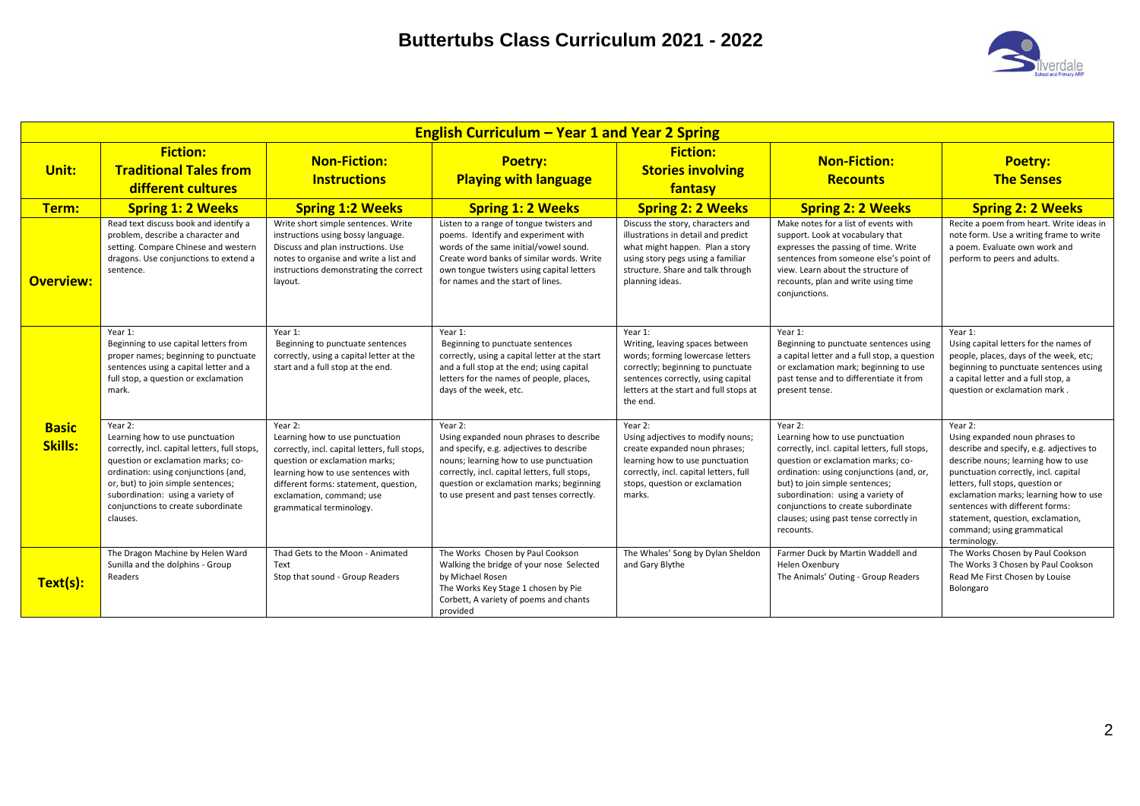

|                                | <b>English Curriculum – Year 1 and Year 2 Spring</b>                                                                                                                                                                                                                                                   |                                                                                                                                                                                                                                                                      |                                                                                                                                                                                                                                                                                    |                                                                                                                                                                                                                 |                                                                                                                                                                                                                                                                                                                                                   |                                                                                                                                                                                                                                                                                                                                                                          |  |  |  |  |
|--------------------------------|--------------------------------------------------------------------------------------------------------------------------------------------------------------------------------------------------------------------------------------------------------------------------------------------------------|----------------------------------------------------------------------------------------------------------------------------------------------------------------------------------------------------------------------------------------------------------------------|------------------------------------------------------------------------------------------------------------------------------------------------------------------------------------------------------------------------------------------------------------------------------------|-----------------------------------------------------------------------------------------------------------------------------------------------------------------------------------------------------------------|---------------------------------------------------------------------------------------------------------------------------------------------------------------------------------------------------------------------------------------------------------------------------------------------------------------------------------------------------|--------------------------------------------------------------------------------------------------------------------------------------------------------------------------------------------------------------------------------------------------------------------------------------------------------------------------------------------------------------------------|--|--|--|--|
| Unit:                          | <b>Fiction:</b><br><b>Non-Fiction:</b><br><b>Traditional Tales from</b><br><b>Instructions</b><br>different cultures                                                                                                                                                                                   |                                                                                                                                                                                                                                                                      | <b>Poetry:</b><br><b>Playing with language</b>                                                                                                                                                                                                                                     | <b>Fiction:</b><br><b>Stories involving</b><br>fantasy                                                                                                                                                          | <b>Non-Fiction:</b><br><b>Recounts</b>                                                                                                                                                                                                                                                                                                            | <b>Poetry:</b><br><b>The Senses</b>                                                                                                                                                                                                                                                                                                                                      |  |  |  |  |
| Term:                          | <b>Spring 1: 2 Weeks</b>                                                                                                                                                                                                                                                                               | <b>Spring 1:2 Weeks</b>                                                                                                                                                                                                                                              | <b>Spring 1: 2 Weeks</b>                                                                                                                                                                                                                                                           | <b>Spring 2: 2 Weeks</b>                                                                                                                                                                                        | <b>Spring 2: 2 Weeks</b>                                                                                                                                                                                                                                                                                                                          | <b>Spring 2: 2 Weeks</b>                                                                                                                                                                                                                                                                                                                                                 |  |  |  |  |
| <b>Overview:</b>               | Read text discuss book and identify a<br>problem, describe a character and<br>setting. Compare Chinese and western<br>dragons. Use conjunctions to extend a<br>sentence.                                                                                                                               | Write short simple sentences. Write<br>instructions using bossy language.<br>Discuss and plan instructions. Use<br>notes to organise and write a list and<br>instructions demonstrating the correct<br>layout.                                                       | Listen to a range of tongue twisters and<br>poems. Identify and experiment with<br>words of the same initial/vowel sound.<br>Create word banks of similar words. Write<br>own tongue twisters using capital letters<br>for names and the start of lines.                           | Discuss the story, characters and<br>illustrations in detail and predict<br>what might happen. Plan a story<br>using story pegs using a familiar<br>structure. Share and talk through<br>planning ideas.        | Make notes for a list of events with<br>support. Look at vocabulary that<br>expresses the passing of time. Write<br>sentences from someone else's point of<br>view. Learn about the structure of<br>recounts, plan and write using time<br>conjunctions.                                                                                          | Recite a poem from heart. Write ideas in<br>note form. Use a writing frame to write<br>a poem. Evaluate own work and<br>perform to peers and adults.                                                                                                                                                                                                                     |  |  |  |  |
|                                | Year 1:<br>Beginning to use capital letters from<br>proper names; beginning to punctuate<br>sentences using a capital letter and a<br>full stop, a question or exclamation<br>mark.                                                                                                                    | Year 1:<br>Beginning to punctuate sentences<br>correctly, using a capital letter at the<br>start and a full stop at the end.                                                                                                                                         | Year 1:<br>Beginning to punctuate sentences<br>correctly, using a capital letter at the start<br>and a full stop at the end; using capital<br>letters for the names of people, places,<br>days of the week, etc.                                                                   | Year 1:<br>Writing, leaving spaces between<br>words; forming lowercase letters<br>correctly; beginning to punctuate<br>sentences correctly, using capital<br>letters at the start and full stops at<br>the end. | Year 1:<br>Beginning to punctuate sentences using<br>a capital letter and a full stop, a question<br>or exclamation mark; beginning to use<br>past tense and to differentiate it from<br>present tense.                                                                                                                                           | Year 1:<br>Using capital letters for the names of<br>people, places, days of the week, etc;<br>beginning to punctuate sentences using<br>a capital letter and a full stop, a<br>question or exclamation mark.                                                                                                                                                            |  |  |  |  |
| <b>Basic</b><br><b>Skills:</b> | Year 2:<br>Learning how to use punctuation<br>correctly, incl. capital letters, full stops,<br>question or exclamation marks; co-<br>ordination: using conjunctions (and,<br>or, but) to join simple sentences;<br>subordination: using a variety of<br>conjunctions to create subordinate<br>clauses. | Year 2:<br>Learning how to use punctuation<br>correctly, incl. capital letters, full stops<br>question or exclamation marks;<br>learning how to use sentences with<br>different forms: statement, question,<br>exclamation, command; use<br>grammatical terminology. | Year 2:<br>Using expanded noun phrases to describe<br>and specify, e.g. adjectives to describe<br>nouns; learning how to use punctuation<br>correctly, incl. capital letters, full stops,<br>question or exclamation marks; beginning<br>to use present and past tenses correctly. | Year 2:<br>Using adjectives to modify nouns;<br>create expanded noun phrases;<br>learning how to use punctuation<br>correctly, incl. capital letters, full<br>stops, question or exclamation<br>marks.          | Year 2:<br>Learning how to use punctuation<br>correctly, incl. capital letters, full stops,<br>question or exclamation marks; co-<br>ordination: using conjunctions (and, or,<br>but) to join simple sentences;<br>subordination: using a variety of<br>conjunctions to create subordinate<br>clauses; using past tense correctly in<br>recounts. | Year 2:<br>Using expanded noun phrases to<br>describe and specify, e.g. adjectives to<br>describe nouns; learning how to use<br>punctuation correctly, incl. capital<br>letters, full stops, question or<br>exclamation marks; learning how to use<br>sentences with different forms:<br>statement, question, exclamation,<br>command; using grammatical<br>terminology. |  |  |  |  |
| Text(s):                       | The Dragon Machine by Helen Ward<br>Sunilla and the dolphins - Group<br>Readers                                                                                                                                                                                                                        | Thad Gets to the Moon - Animated<br>Text<br>Stop that sound - Group Readers                                                                                                                                                                                          | The Works Chosen by Paul Cookson<br>Walking the bridge of your nose Selected<br>by Michael Rosen<br>The Works Key Stage 1 chosen by Pie<br>Corbett, A variety of poems and chants<br>provided                                                                                      | The Whales' Song by Dylan Sheldon<br>and Gary Blythe                                                                                                                                                            | Farmer Duck by Martin Waddell and<br>Helen Oxenbury<br>The Animals' Outing - Group Readers                                                                                                                                                                                                                                                        | The Works Chosen by Paul Cookson<br>The Works 3 Chosen by Paul Cookson<br>Read Me First Chosen by Louise<br>Bolongaro                                                                                                                                                                                                                                                    |  |  |  |  |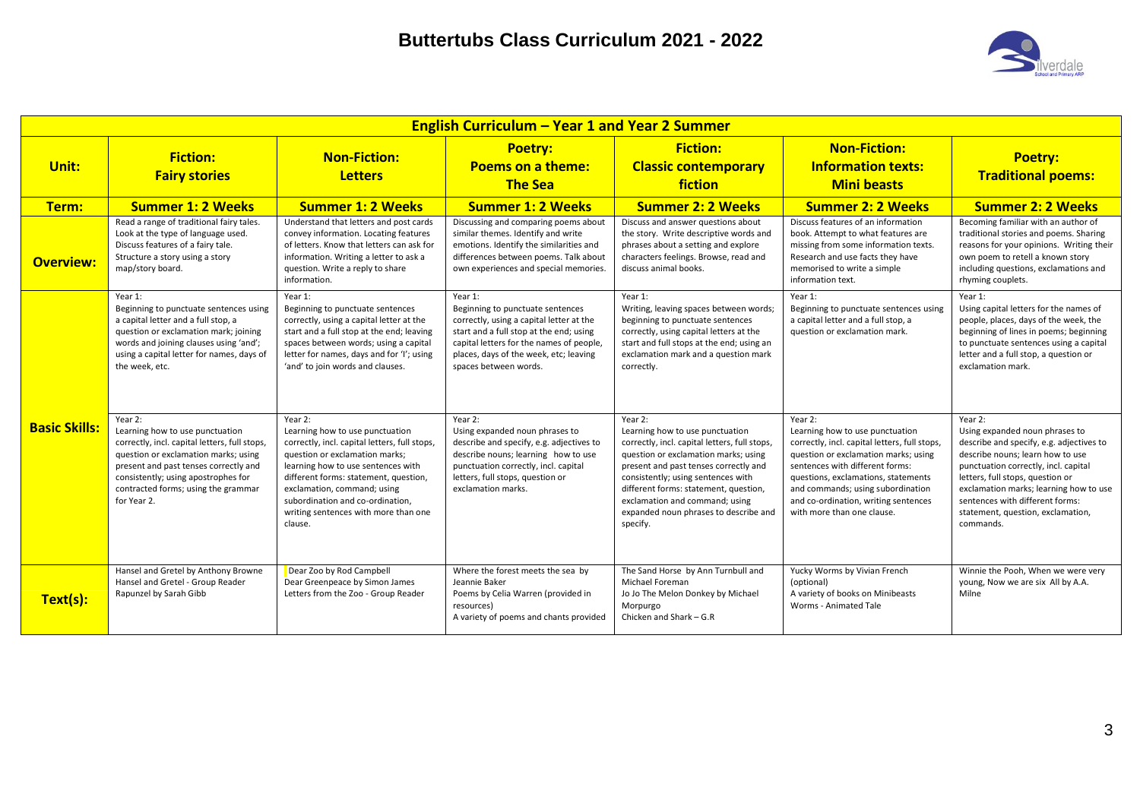

|                      | <b>English Curriculum - Year 1 and Year 2 Summer</b>                                                                                                                                                                                                                      |                                                                                                                                                                                                                                                                                                                                    |                                                                                                                                                                                                                                                   |                                                                                                                                                                                                                                                                                                                                                    |                                                                                                                                                                                                                                                                                                                          |                                                                                                                                                                                                                                                                                                                                      |  |  |  |  |
|----------------------|---------------------------------------------------------------------------------------------------------------------------------------------------------------------------------------------------------------------------------------------------------------------------|------------------------------------------------------------------------------------------------------------------------------------------------------------------------------------------------------------------------------------------------------------------------------------------------------------------------------------|---------------------------------------------------------------------------------------------------------------------------------------------------------------------------------------------------------------------------------------------------|----------------------------------------------------------------------------------------------------------------------------------------------------------------------------------------------------------------------------------------------------------------------------------------------------------------------------------------------------|--------------------------------------------------------------------------------------------------------------------------------------------------------------------------------------------------------------------------------------------------------------------------------------------------------------------------|--------------------------------------------------------------------------------------------------------------------------------------------------------------------------------------------------------------------------------------------------------------------------------------------------------------------------------------|--|--|--|--|
| Unit:                | <b>Fiction:</b><br><b>Fairy stories</b>                                                                                                                                                                                                                                   | <b>Non-Fiction:</b><br><b>Letters</b>                                                                                                                                                                                                                                                                                              | <b>Poetry:</b><br><b>Poems on a theme:</b><br><b>The Sea</b>                                                                                                                                                                                      | <b>Fiction:</b><br><b>Classic contemporary</b><br>fiction                                                                                                                                                                                                                                                                                          | <b>Non-Fiction:</b><br><b>Information texts:</b><br><b>Mini beasts</b>                                                                                                                                                                                                                                                   | <b>Poetry:</b><br><b>Traditional poems:</b>                                                                                                                                                                                                                                                                                          |  |  |  |  |
| Term:                | <b>Summer 1: 2 Weeks</b>                                                                                                                                                                                                                                                  | <b>Summer 1: 2 Weeks</b>                                                                                                                                                                                                                                                                                                           | <b>Summer 1: 2 Weeks</b>                                                                                                                                                                                                                          | <b>Summer 2: 2 Weeks</b>                                                                                                                                                                                                                                                                                                                           | <b>Summer 2: 2 Weeks</b>                                                                                                                                                                                                                                                                                                 | <b>Summer 2: 2 Weeks</b>                                                                                                                                                                                                                                                                                                             |  |  |  |  |
| <b>Overview:</b>     | Read a range of traditional fairy tales.<br>Look at the type of language used.<br>Discuss features of a fairy tale.<br>Structure a story using a story<br>map/story board.                                                                                                | Understand that letters and post cards<br>convey information. Locating features<br>of letters. Know that letters can ask for<br>information. Writing a letter to ask a<br>question. Write a reply to share<br>information.                                                                                                         | Discussing and comparing poems about<br>similar themes. Identify and write<br>emotions. Identify the similarities and<br>differences between poems. Talk about<br>own experiences and special memories                                            | Discuss and answer questions about<br>the story. Write descriptive words and<br>phrases about a setting and explore<br>characters feelings. Browse, read and<br>discuss animal books.                                                                                                                                                              | Discuss features of an information<br>book. Attempt to what features are<br>missing from some information texts.<br>Research and use facts they have<br>memorised to write a simple<br>information text.                                                                                                                 | Becoming familiar with an author of<br>traditional stories and poems. Sharing<br>reasons for your opinions. Writing their<br>own poem to retell a known story<br>including questions, exclamations and<br>rhyming couplets.                                                                                                          |  |  |  |  |
|                      | Year 1:<br>Beginning to punctuate sentences using<br>a capital letter and a full stop, a<br>question or exclamation mark; joining<br>words and joining clauses using 'and';<br>using a capital letter for names, days of<br>the week, etc.                                | Year 1:<br>Beginning to punctuate sentences<br>correctly, using a capital letter at the<br>start and a full stop at the end; leaving<br>spaces between words; using a capital<br>letter for names, days and for 'I'; using<br>'and' to join words and clauses.                                                                     | Year 1:<br>Beginning to punctuate sentences<br>correctly, using a capital letter at the<br>start and a full stop at the end; using<br>capital letters for the names of people,<br>places, days of the week, etc; leaving<br>spaces between words. | Year 1:<br>Writing, leaving spaces between words;<br>beginning to punctuate sentences<br>correctly, using capital letters at the<br>start and full stops at the end; using an<br>exclamation mark and a question mark<br>correctly.                                                                                                                | Year 1:<br>Beginning to punctuate sentences using<br>a capital letter and a full stop, a<br>question or exclamation mark.                                                                                                                                                                                                | Year 1:<br>Using capital letters for the names of<br>people, places, days of the week, the<br>beginning of lines in poems; beginning<br>to punctuate sentences using a capital<br>letter and a full stop, a question or<br>exclamation mark.                                                                                         |  |  |  |  |
| <b>Basic Skills:</b> | Year 2:<br>Learning how to use punctuation<br>correctly, incl. capital letters, full stops,<br>question or exclamation marks; using<br>present and past tenses correctly and<br>consistently; using apostrophes for<br>contracted forms; using the grammar<br>for Year 2. | Year 2:<br>Learning how to use punctuation<br>correctly, incl. capital letters, full stops,<br>question or exclamation marks;<br>learning how to use sentences with<br>different forms: statement, question,<br>exclamation, command; using<br>subordination and co-ordination.<br>writing sentences with more than one<br>clause. | Year 2:<br>Using expanded noun phrases to<br>describe and specify, e.g. adjectives to<br>describe nouns; learning how to use<br>punctuation correctly, incl. capital<br>letters, full stops, question or<br>exclamation marks.                    | Year 2:<br>Learning how to use punctuation<br>correctly, incl. capital letters, full stops,<br>question or exclamation marks; using<br>present and past tenses correctly and<br>consistently; using sentences with<br>different forms: statement, question,<br>exclamation and command; using<br>expanded noun phrases to describe and<br>specify. | Year 2:<br>Learning how to use punctuation<br>correctly, incl. capital letters, full stops,<br>question or exclamation marks; using<br>sentences with different forms:<br>questions, exclamations, statements<br>and commands; using subordination<br>and co-ordination, writing sentences<br>with more than one clause. | Year 2:<br>Using expanded noun phrases to<br>describe and specify, e.g. adjectives to<br>describe nouns; learn how to use<br>punctuation correctly, incl. capital<br>letters, full stops, question or<br>exclamation marks; learning how to use<br>sentences with different forms:<br>statement, question, exclamation,<br>commands. |  |  |  |  |
| Text(s):             | Hansel and Gretel by Anthony Browne<br>Hansel and Gretel - Group Reader<br>Rapunzel by Sarah Gibb                                                                                                                                                                         | Dear Zoo by Rod Campbell<br>Dear Greenpeace by Simon James<br>Letters from the Zoo - Group Reader                                                                                                                                                                                                                                  | Where the forest meets the sea by<br>Jeannie Baker<br>Poems by Celia Warren (provided in<br>resources)<br>A variety of poems and chants provided                                                                                                  | The Sand Horse by Ann Turnbull and<br>Michael Foreman<br>Jo Jo The Melon Donkey by Michael<br>Morpurgo<br>Chicken and Shark - G.R                                                                                                                                                                                                                  | Yucky Worms by Vivian French<br>(optional)<br>A variety of books on Minibeasts<br>Worms - Animated Tale                                                                                                                                                                                                                  | Winnie the Pooh, When we were very<br>young, Now we are six All by A.A.<br>Milne                                                                                                                                                                                                                                                     |  |  |  |  |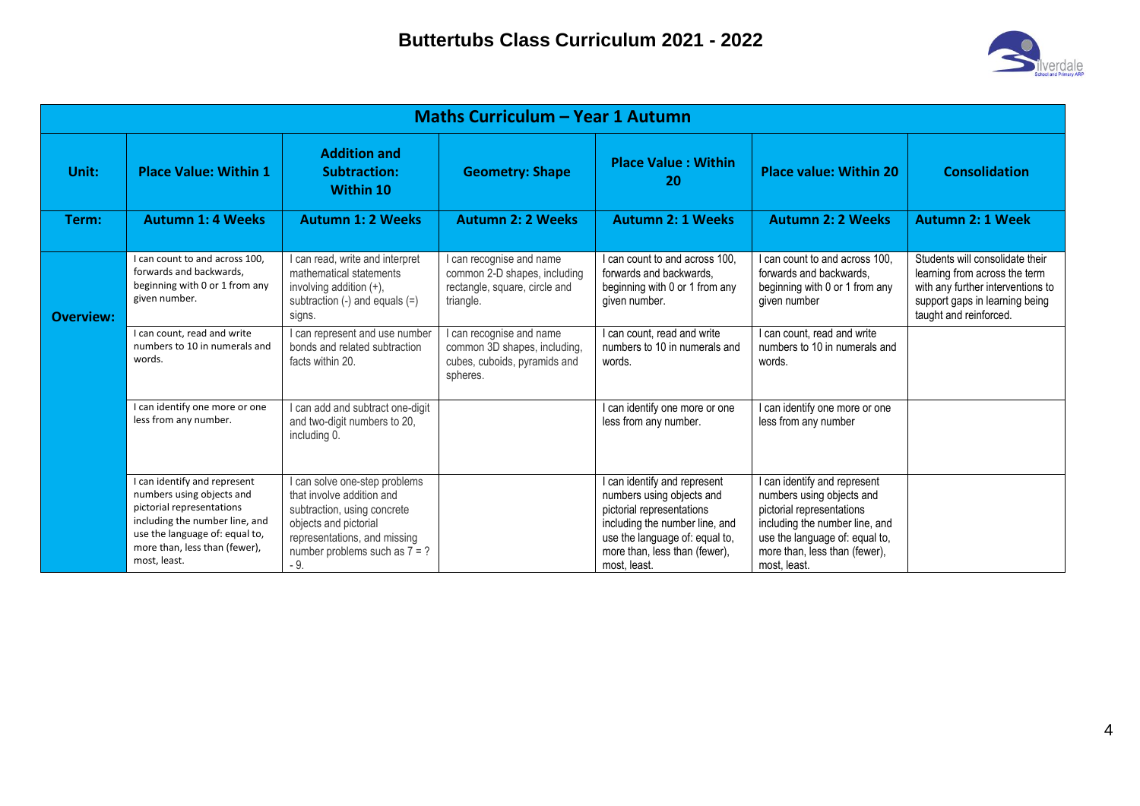

| Maths Curriculum - Year 1 Autumn |                                                                                                                                                                                                             |                                                                                                                                                                                                |                                                                                                        |                                                                                                                                                                                                             |                                                                                                                                                                                                           |                                                                                                                                                                   |  |  |  |
|----------------------------------|-------------------------------------------------------------------------------------------------------------------------------------------------------------------------------------------------------------|------------------------------------------------------------------------------------------------------------------------------------------------------------------------------------------------|--------------------------------------------------------------------------------------------------------|-------------------------------------------------------------------------------------------------------------------------------------------------------------------------------------------------------------|-----------------------------------------------------------------------------------------------------------------------------------------------------------------------------------------------------------|-------------------------------------------------------------------------------------------------------------------------------------------------------------------|--|--|--|
| Unit:                            | <b>Place Value: Within 1</b>                                                                                                                                                                                | <b>Addition and</b><br>Subtraction:<br><b>Within 10</b>                                                                                                                                        | <b>Geometry: Shape</b>                                                                                 | <b>Place Value: Within</b><br>20                                                                                                                                                                            | <b>Place value: Within 20</b>                                                                                                                                                                             | <b>Consolidation</b>                                                                                                                                              |  |  |  |
| Term:                            | <b>Autumn 1: 4 Weeks</b>                                                                                                                                                                                    | <b>Autumn 1: 2 Weeks</b>                                                                                                                                                                       | <b>Autumn 2: 2 Weeks</b>                                                                               | <b>Autumn 2: 1 Weeks</b>                                                                                                                                                                                    | <b>Autumn 2: 2 Weeks</b>                                                                                                                                                                                  | <b>Autumn 2: 1 Week</b>                                                                                                                                           |  |  |  |
| <b>Overview:</b>                 | I can count to and across 100.<br>forwards and backwards,<br>beginning with 0 or 1 from any<br>given number.                                                                                                | I can read, write and interpret<br>mathematical statements<br>involving addition $(+)$ ,<br>subtraction $(-)$ and equals $(=)$<br>signs.                                                       | I can recognise and name<br>common 2-D shapes, including<br>rectangle, square, circle and<br>triangle. | I can count to and across 100.<br>forwards and backwards.<br>beginning with 0 or 1 from any<br>given number.                                                                                                | I can count to and across 100.<br>forwards and backwards.<br>beginning with 0 or 1 from any<br>given number                                                                                               | Students will consolidate their<br>learning from across the term<br>with any further interventions to<br>support gaps in learning being<br>taught and reinforced. |  |  |  |
|                                  | I can count, read and write<br>numbers to 10 in numerals and<br>words.                                                                                                                                      | I can represent and use number<br>bonds and related subtraction<br>facts within 20.                                                                                                            | I can recognise and name<br>common 3D shapes, including,<br>cubes, cuboids, pyramids and<br>spheres.   | I can count. read and write<br>numbers to 10 in numerals and<br>words.                                                                                                                                      | I can count, read and write<br>numbers to 10 in numerals and<br>words.                                                                                                                                    |                                                                                                                                                                   |  |  |  |
|                                  | I can identify one more or one<br>less from any number.                                                                                                                                                     | I can add and subtract one-digit<br>and two-digit numbers to 20,<br>including 0.                                                                                                               |                                                                                                        | I can identify one more or one<br>less from any number.                                                                                                                                                     | can identify one more or one<br>less from any number                                                                                                                                                      |                                                                                                                                                                   |  |  |  |
|                                  | I can identify and represent<br>numbers using objects and<br>pictorial representations<br>including the number line, and<br>use the language of: equal to,<br>more than, less than (fewer),<br>most, least. | I can solve one-step problems<br>that involve addition and<br>subtraction, using concrete<br>objects and pictorial<br>representations, and missing<br>number problems such as $7 = ?$<br>$-9.$ |                                                                                                        | I can identify and represent<br>numbers using objects and<br>pictorial representations<br>including the number line, and<br>use the language of: equal to,<br>more than, less than (fewer),<br>most. least. | can identify and represent<br>numbers using objects and<br>pictorial representations<br>including the number line, and<br>use the language of: equal to,<br>more than, less than (fewer),<br>most, least. |                                                                                                                                                                   |  |  |  |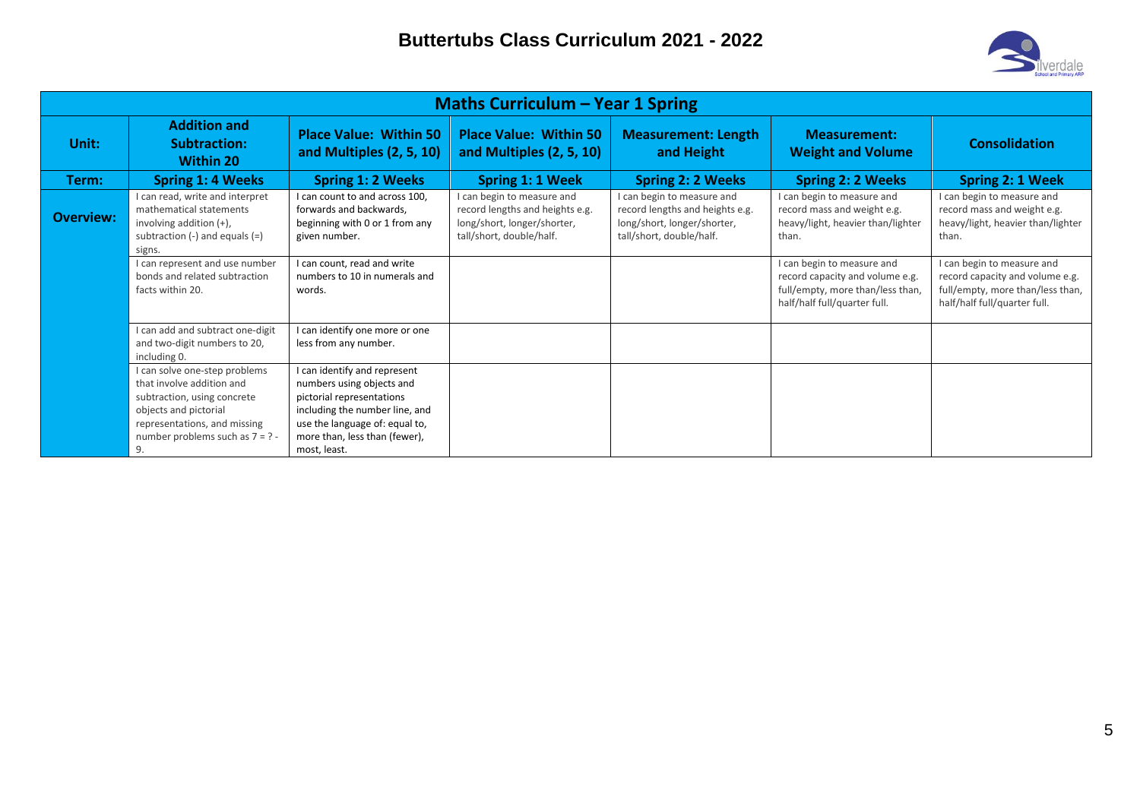

|                  | <b>Maths Curriculum – Year 1 Spring</b>                                                                                                                                                       |                                                                                                                                                                                                             |                                                                                                                          |                                                                                                                          |                                                                                                                                   |                                                                                                                                   |  |  |  |  |
|------------------|-----------------------------------------------------------------------------------------------------------------------------------------------------------------------------------------------|-------------------------------------------------------------------------------------------------------------------------------------------------------------------------------------------------------------|--------------------------------------------------------------------------------------------------------------------------|--------------------------------------------------------------------------------------------------------------------------|-----------------------------------------------------------------------------------------------------------------------------------|-----------------------------------------------------------------------------------------------------------------------------------|--|--|--|--|
| Unit:            | <b>Addition and</b><br><b>Subtraction:</b><br>Within 20                                                                                                                                       | <b>Place Value: Within 50</b><br>and Multiples (2, 5, 10)                                                                                                                                                   | <b>Place Value: Within 50</b><br>and Multiples (2, 5, 10)                                                                | <b>Measurement: Length</b><br>and Height                                                                                 | <b>Measurement:</b><br><b>Weight and Volume</b>                                                                                   | <b>Consolidation</b>                                                                                                              |  |  |  |  |
| Term:            | <b>Spring 1: 4 Weeks</b>                                                                                                                                                                      | <b>Spring 1: 2 Weeks</b>                                                                                                                                                                                    | Spring 1: 1 Week                                                                                                         | <b>Spring 2: 2 Weeks</b>                                                                                                 | <b>Spring 2: 2 Weeks</b>                                                                                                          | <b>Spring 2: 1 Week</b>                                                                                                           |  |  |  |  |
| <b>Overview:</b> | I can read, write and interpret<br>mathematical statements<br>involving addition (+),<br>subtraction $(-)$ and equals $(=)$<br>signs.                                                         | I can count to and across 100.<br>forwards and backwards,<br>beginning with 0 or 1 from any<br>given number.                                                                                                | I can begin to measure and<br>record lengths and heights e.g.<br>long/short, longer/shorter,<br>tall/short, double/half. | I can begin to measure and<br>record lengths and heights e.g.<br>long/short, longer/shorter,<br>tall/short, double/half. | I can begin to measure and<br>record mass and weight e.g.<br>heavy/light, heavier than/lighter<br>than.                           | I can begin to measure and<br>record mass and weight e.g.<br>heavy/light, heavier than/lighter<br>than.                           |  |  |  |  |
|                  | I can represent and use number<br>bonds and related subtraction<br>facts within 20.                                                                                                           | I can count, read and write<br>numbers to 10 in numerals and<br>words.                                                                                                                                      |                                                                                                                          |                                                                                                                          | I can begin to measure and<br>record capacity and volume e.g.<br>full/empty, more than/less than,<br>half/half full/quarter full. | I can begin to measure and<br>record capacity and volume e.g.<br>full/empty, more than/less than,<br>half/half full/quarter full. |  |  |  |  |
|                  | I can add and subtract one-digit<br>and two-digit numbers to 20,<br>including 0.                                                                                                              | I can identify one more or one<br>less from any number.                                                                                                                                                     |                                                                                                                          |                                                                                                                          |                                                                                                                                   |                                                                                                                                   |  |  |  |  |
|                  | I can solve one-step problems<br>that involve addition and<br>subtraction, using concrete<br>objects and pictorial<br>representations, and missing<br>number problems such as $7 = ? -$<br>9. | I can identify and represent<br>numbers using objects and<br>pictorial representations<br>including the number line, and<br>use the language of: equal to,<br>more than, less than (fewer),<br>most, least. |                                                                                                                          |                                                                                                                          |                                                                                                                                   |                                                                                                                                   |  |  |  |  |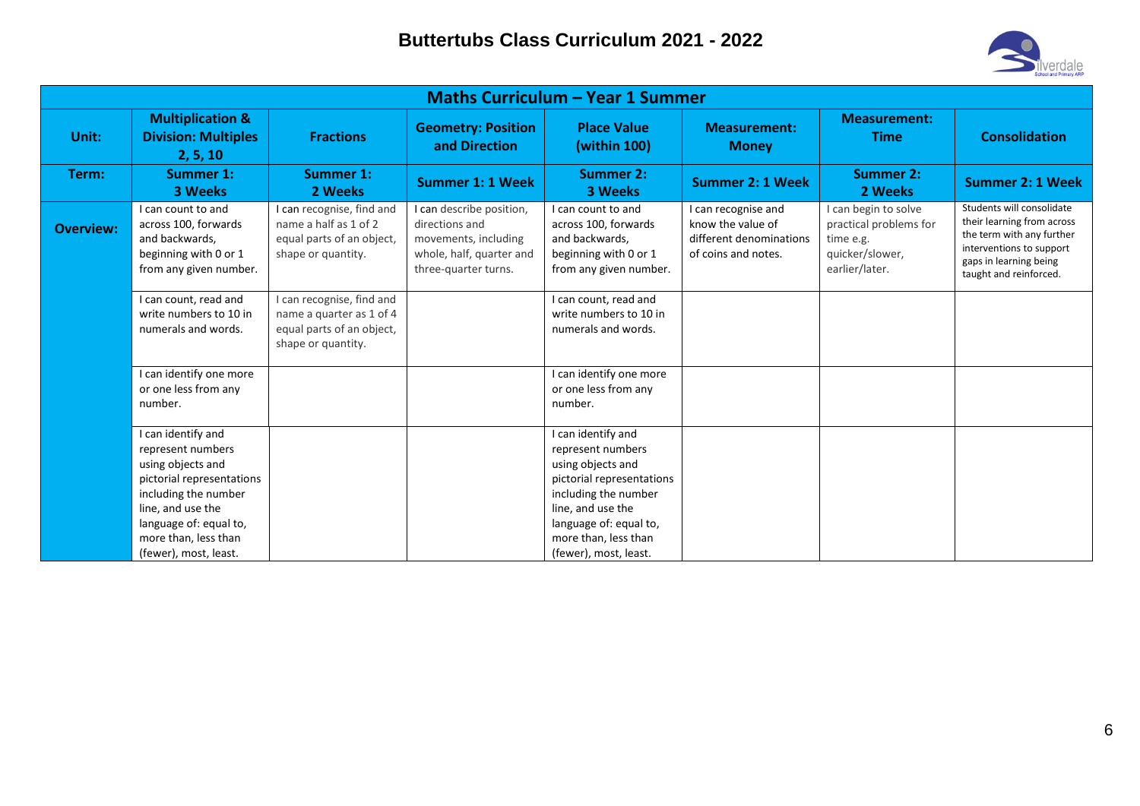

|                  | <b>Maths Curriculum - Year 1 Summer</b>                                                                                                                                                                           |                                                                                                          |                                                                                                                        |                                                                                                                                                                                                                   |                                                                                            |                                                                                                  |                                                                                                                                                                      |  |  |  |  |
|------------------|-------------------------------------------------------------------------------------------------------------------------------------------------------------------------------------------------------------------|----------------------------------------------------------------------------------------------------------|------------------------------------------------------------------------------------------------------------------------|-------------------------------------------------------------------------------------------------------------------------------------------------------------------------------------------------------------------|--------------------------------------------------------------------------------------------|--------------------------------------------------------------------------------------------------|----------------------------------------------------------------------------------------------------------------------------------------------------------------------|--|--|--|--|
| Unit:            | <b>Multiplication &amp;</b><br><b>Division: Multiples</b><br>2, 5, 10                                                                                                                                             | <b>Fractions</b>                                                                                         | <b>Geometry: Position</b><br>and Direction                                                                             | <b>Place Value</b><br>(within 100)                                                                                                                                                                                | <b>Measurement:</b><br><b>Money</b>                                                        | <b>Measurement:</b><br><b>Time</b>                                                               | <b>Consolidation</b>                                                                                                                                                 |  |  |  |  |
| Term:            | <b>Summer 1:</b><br><b>3 Weeks</b>                                                                                                                                                                                | <b>Summer 1:</b><br>2 Weeks                                                                              | <b>Summer 1: 1 Week</b>                                                                                                | <b>Summer 2:</b><br>3 Weeks                                                                                                                                                                                       | <b>Summer 2: 1 Week</b>                                                                    | <b>Summer 2:</b><br>2 Weeks                                                                      | <b>Summer 2: 1 Week</b>                                                                                                                                              |  |  |  |  |
| <b>Overview:</b> | I can count to and<br>across 100, forwards<br>and backwards,<br>beginning with 0 or 1<br>from any given number.                                                                                                   | I can recognise, find and<br>name a half as 1 of 2<br>equal parts of an object,<br>shape or quantity.    | I can describe position,<br>directions and<br>movements, including<br>whole, half, quarter and<br>three-quarter turns. | I can count to and<br>across 100, forwards<br>and backwards,<br>beginning with 0 or 1<br>from any given number.                                                                                                   | I can recognise and<br>know the value of<br>different denominations<br>of coins and notes. | I can begin to solve<br>practical problems for<br>time e.g.<br>quicker/slower,<br>earlier/later. | Students will consolidate<br>their learning from across<br>the term with any further<br>interventions to support<br>gaps in learning being<br>taught and reinforced. |  |  |  |  |
|                  | I can count, read and<br>write numbers to 10 in<br>numerals and words.                                                                                                                                            | I can recognise, find and<br>name a quarter as 1 of 4<br>equal parts of an object,<br>shape or quantity. |                                                                                                                        | I can count, read and<br>write numbers to 10 in<br>numerals and words.                                                                                                                                            |                                                                                            |                                                                                                  |                                                                                                                                                                      |  |  |  |  |
|                  | I can identify one more<br>or one less from any<br>number.                                                                                                                                                        |                                                                                                          |                                                                                                                        | I can identify one more<br>or one less from any<br>number.                                                                                                                                                        |                                                                                            |                                                                                                  |                                                                                                                                                                      |  |  |  |  |
|                  | I can identify and<br>represent numbers<br>using objects and<br>pictorial representations<br>including the number<br>line, and use the<br>language of: equal to,<br>more than, less than<br>(fewer), most, least. |                                                                                                          |                                                                                                                        | I can identify and<br>represent numbers<br>using objects and<br>pictorial representations<br>including the number<br>line, and use the<br>language of: equal to,<br>more than, less than<br>(fewer), most, least. |                                                                                            |                                                                                                  |                                                                                                                                                                      |  |  |  |  |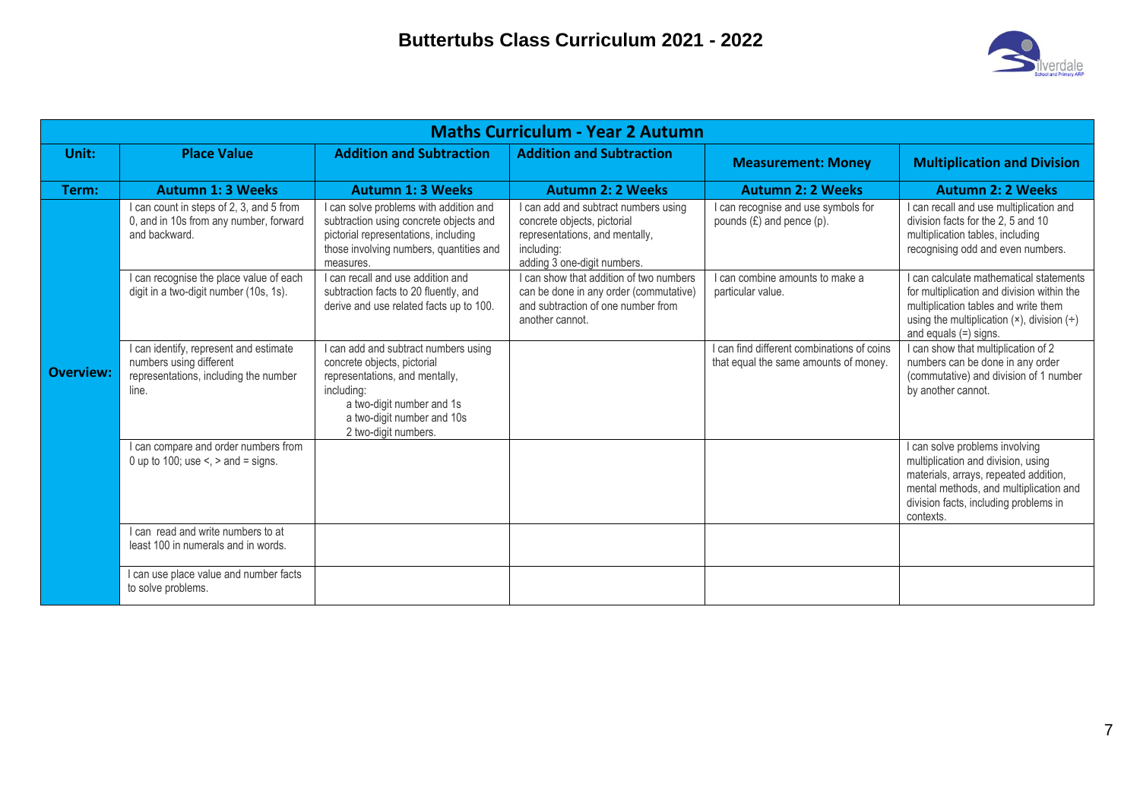

|                  | <b>Maths Curriculum - Year 2 Autumn</b>                                                                             |                                                                                                                                                                                                        |                                                                                                                                                    |                                                                                     |                                                                                                                                                                                                                           |  |  |  |  |  |
|------------------|---------------------------------------------------------------------------------------------------------------------|--------------------------------------------------------------------------------------------------------------------------------------------------------------------------------------------------------|----------------------------------------------------------------------------------------------------------------------------------------------------|-------------------------------------------------------------------------------------|---------------------------------------------------------------------------------------------------------------------------------------------------------------------------------------------------------------------------|--|--|--|--|--|
| Unit:            | <b>Place Value</b>                                                                                                  | <b>Addition and Subtraction</b>                                                                                                                                                                        | <b>Addition and Subtraction</b>                                                                                                                    | <b>Measurement: Money</b>                                                           | <b>Multiplication and Division</b>                                                                                                                                                                                        |  |  |  |  |  |
| Term:            | <b>Autumn 1: 3 Weeks</b>                                                                                            | <b>Autumn 1: 3 Weeks</b>                                                                                                                                                                               | <b>Autumn 2: 2 Weeks</b>                                                                                                                           | <b>Autumn 2: 2 Weeks</b>                                                            | <b>Autumn 2: 2 Weeks</b>                                                                                                                                                                                                  |  |  |  |  |  |
|                  | I can count in steps of 2, 3, and 5 from<br>0, and in 10s from any number, forward<br>and backward.                 | I can solve problems with addition and<br>subtraction using concrete objects and<br>pictorial representations, including<br>those involving numbers, quantities and<br>measures.                       | I can add and subtract numbers using<br>concrete objects, pictorial<br>representations, and mentally,<br>including:<br>adding 3 one-digit numbers. | I can recognise and use symbols for<br>pounds $(E)$ and pence $(p)$ .               | I can recall and use multiplication and<br>division facts for the 2, 5 and 10<br>multiplication tables, including<br>recognising odd and even numbers.                                                                    |  |  |  |  |  |
|                  | I can recognise the place value of each<br>digit in a two-digit number (10s, 1s).                                   | I can recall and use addition and<br>subtraction facts to 20 fluently, and<br>derive and use related facts up to 100.                                                                                  | I can show that addition of two numbers<br>can be done in any order (commutative)<br>and subtraction of one number from<br>another cannot.         | I can combine amounts to make a<br>particular value.                                | I can calculate mathematical statements<br>for multiplication and division within the<br>multiplication tables and write them<br>using the multiplication $(x)$ , division $\left(\div\right)$<br>and equals $(=)$ signs. |  |  |  |  |  |
| <b>Overview:</b> | I can identify, represent and estimate<br>numbers using different<br>representations, including the number<br>line. | I can add and subtract numbers using<br>concrete objects, pictorial<br>representations, and mentally,<br>including:<br>a two-digit number and 1s<br>a two-digit number and 10s<br>2 two-digit numbers. |                                                                                                                                                    | I can find different combinations of coins<br>that equal the same amounts of money. | I can show that multiplication of 2<br>numbers can be done in any order<br>(commutative) and division of 1 number<br>by another cannot.                                                                                   |  |  |  |  |  |
|                  | I can compare and order numbers from<br>0 up to 100; use $\leq$ , $>$ and $=$ signs.                                |                                                                                                                                                                                                        |                                                                                                                                                    |                                                                                     | I can solve problems involving<br>multiplication and division, using<br>materials, arrays, repeated addition,<br>mental methods, and multiplication and<br>division facts, including problems in<br>contexts.             |  |  |  |  |  |
|                  | I can read and write numbers to at<br>least 100 in numerals and in words.                                           |                                                                                                                                                                                                        |                                                                                                                                                    |                                                                                     |                                                                                                                                                                                                                           |  |  |  |  |  |
|                  | I can use place value and number facts<br>to solve problems.                                                        |                                                                                                                                                                                                        |                                                                                                                                                    |                                                                                     |                                                                                                                                                                                                                           |  |  |  |  |  |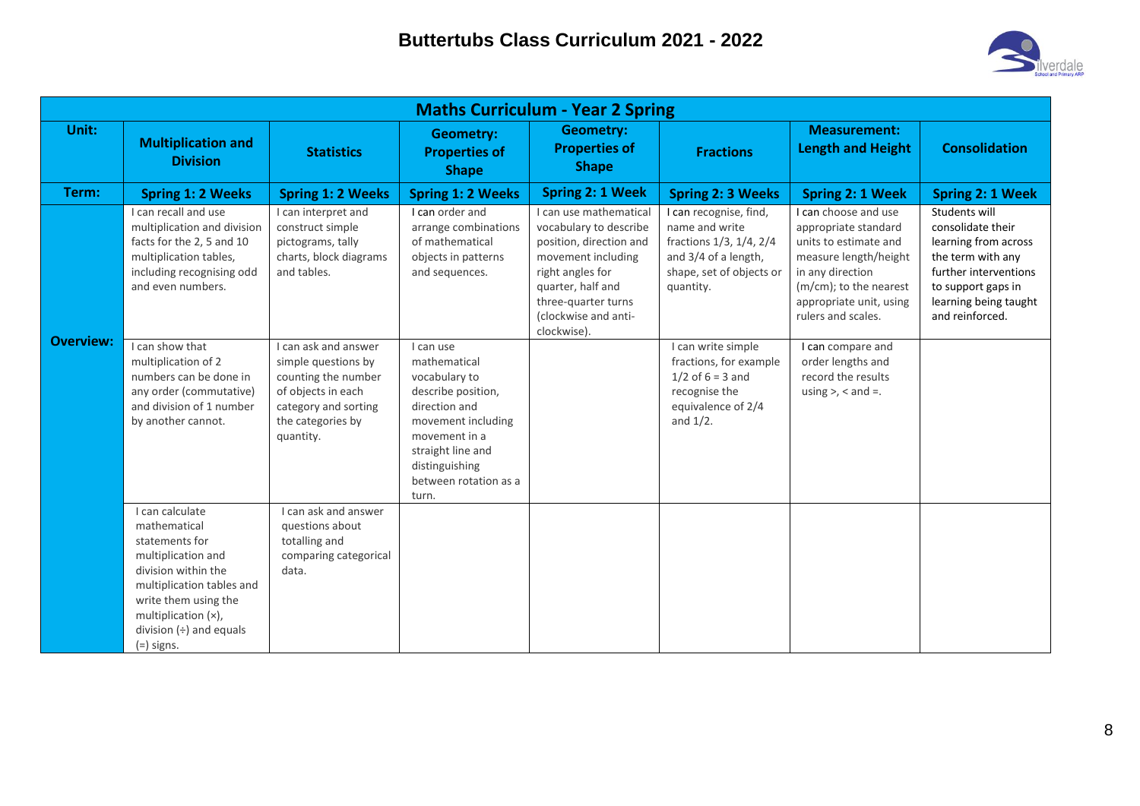

|                  | <b>Maths Curriculum - Year 2 Spring</b>                                                                                                                                                                                 |                                                                                                                                                    |                                                                                                                                                                                                   |                                                                                                                                                                                                          |                                                                                                                                      |                                                                                                                                                                                               |                                                                                                                                                                            |  |  |  |
|------------------|-------------------------------------------------------------------------------------------------------------------------------------------------------------------------------------------------------------------------|----------------------------------------------------------------------------------------------------------------------------------------------------|---------------------------------------------------------------------------------------------------------------------------------------------------------------------------------------------------|----------------------------------------------------------------------------------------------------------------------------------------------------------------------------------------------------------|--------------------------------------------------------------------------------------------------------------------------------------|-----------------------------------------------------------------------------------------------------------------------------------------------------------------------------------------------|----------------------------------------------------------------------------------------------------------------------------------------------------------------------------|--|--|--|
| Unit:            | <b>Multiplication and</b><br><b>Division</b>                                                                                                                                                                            | <b>Statistics</b>                                                                                                                                  | <b>Geometry:</b><br><b>Properties of</b><br><b>Shape</b>                                                                                                                                          | <b>Geometry:</b><br><b>Properties of</b><br><b>Shape</b>                                                                                                                                                 | <b>Fractions</b>                                                                                                                     | <b>Measurement:</b><br><b>Length and Height</b>                                                                                                                                               | <b>Consolidation</b>                                                                                                                                                       |  |  |  |
| Term:            | <b>Spring 1: 2 Weeks</b>                                                                                                                                                                                                | <b>Spring 1: 2 Weeks</b>                                                                                                                           | <b>Spring 1: 2 Weeks</b>                                                                                                                                                                          | <b>Spring 2: 1 Week</b>                                                                                                                                                                                  | <b>Spring 2: 3 Weeks</b>                                                                                                             | Spring 2: 1 Week                                                                                                                                                                              | Spring 2: 1 Week                                                                                                                                                           |  |  |  |
|                  | I can recall and use<br>multiplication and division<br>facts for the 2, 5 and 10<br>multiplication tables,<br>including recognising odd<br>and even numbers.                                                            | I can interpret and<br>construct simple<br>pictograms, tally<br>charts, block diagrams<br>and tables.                                              | I can order and<br>arrange combinations<br>of mathematical<br>objects in patterns<br>and sequences.                                                                                               | I can use mathematical<br>vocabulary to describe<br>position, direction and<br>movement including<br>right angles for<br>quarter, half and<br>three-quarter turns<br>(clockwise and anti-<br>clockwise). | I can recognise, find,<br>name and write<br>fractions 1/3, 1/4, 2/4<br>and 3/4 of a length,<br>shape, set of objects or<br>quantity. | I can choose and use<br>appropriate standard<br>units to estimate and<br>measure length/height<br>in any direction<br>(m/cm); to the nearest<br>appropriate unit, using<br>rulers and scales. | Students will<br>consolidate their<br>learning from across<br>the term with any<br>further interventions<br>to support gaps in<br>learning being taught<br>and reinforced. |  |  |  |
| <b>Overview:</b> | I can show that<br>multiplication of 2<br>numbers can be done in<br>any order (commutative)<br>and division of 1 number<br>by another cannot.                                                                           | I can ask and answer<br>simple questions by<br>counting the number<br>of objects in each<br>category and sorting<br>the categories by<br>quantity. | I can use<br>mathematical<br>vocabulary to<br>describe position,<br>direction and<br>movement including<br>movement in a<br>straight line and<br>distinguishing<br>between rotation as a<br>turn. |                                                                                                                                                                                                          | I can write simple<br>fractions, for example<br>$1/2$ of $6 = 3$ and<br>recognise the<br>equivalence of 2/4<br>and $1/2$ .           | I can compare and<br>order lengths and<br>record the results<br>using $>$ , $<$ and $=$ .                                                                                                     |                                                                                                                                                                            |  |  |  |
|                  | I can calculate<br>mathematical<br>statements for<br>multiplication and<br>division within the<br>multiplication tables and<br>write them using the<br>multiplication (x),<br>division $(+)$ and equals<br>$(=)$ signs. | I can ask and answer<br>questions about<br>totalling and<br>comparing categorical<br>data.                                                         |                                                                                                                                                                                                   |                                                                                                                                                                                                          |                                                                                                                                      |                                                                                                                                                                                               |                                                                                                                                                                            |  |  |  |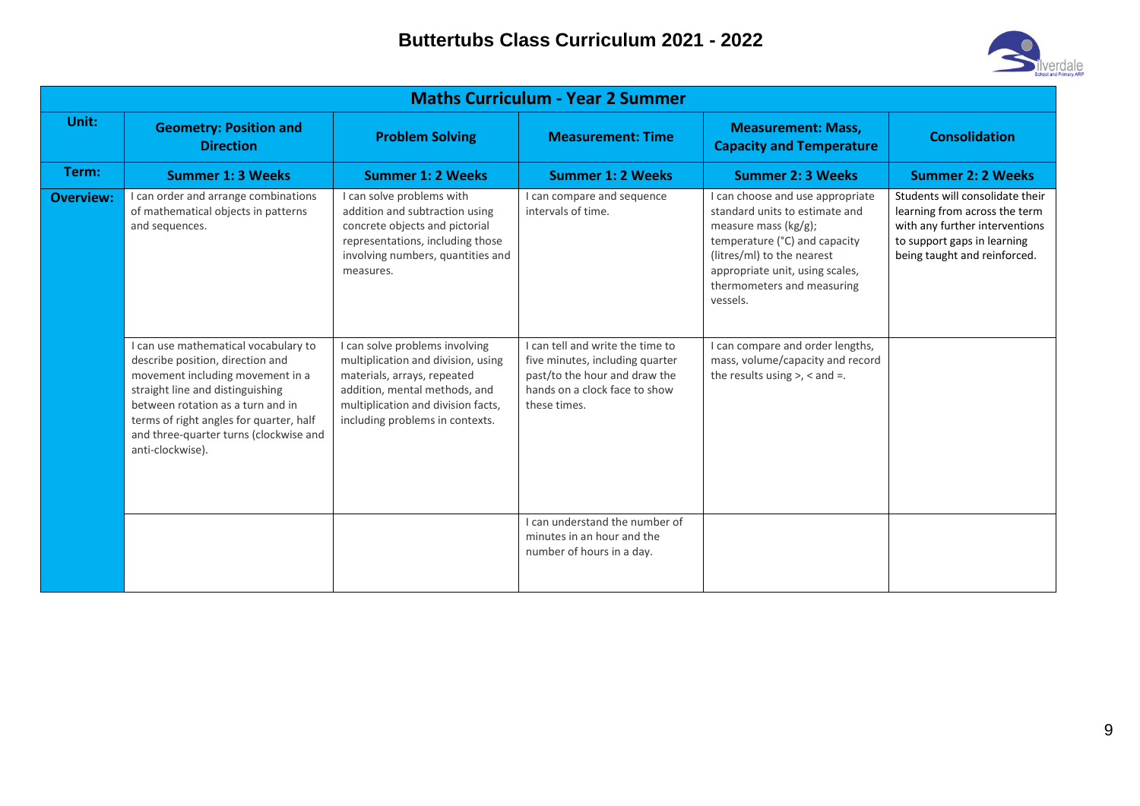

|                  | <b>Maths Curriculum - Year 2 Summer</b>                                                                                                                                                                                                                                                        |                                                                                                                                                                                                               |                                                                                                                                                       |                                                                                                                                                                                                                                           |                                                                                                                                                                   |  |  |  |  |  |  |
|------------------|------------------------------------------------------------------------------------------------------------------------------------------------------------------------------------------------------------------------------------------------------------------------------------------------|---------------------------------------------------------------------------------------------------------------------------------------------------------------------------------------------------------------|-------------------------------------------------------------------------------------------------------------------------------------------------------|-------------------------------------------------------------------------------------------------------------------------------------------------------------------------------------------------------------------------------------------|-------------------------------------------------------------------------------------------------------------------------------------------------------------------|--|--|--|--|--|--|
| Unit:            | <b>Geometry: Position and</b><br><b>Direction</b>                                                                                                                                                                                                                                              | <b>Problem Solving</b>                                                                                                                                                                                        | <b>Measurement: Time</b>                                                                                                                              | <b>Measurement: Mass,</b><br><b>Capacity and Temperature</b>                                                                                                                                                                              | <b>Consolidation</b>                                                                                                                                              |  |  |  |  |  |  |
| Term:            | <b>Summer 1: 3 Weeks</b>                                                                                                                                                                                                                                                                       | <b>Summer 1: 2 Weeks</b>                                                                                                                                                                                      | <b>Summer 1: 2 Weeks</b>                                                                                                                              | <b>Summer 2: 3 Weeks</b>                                                                                                                                                                                                                  | <b>Summer 2: 2 Weeks</b>                                                                                                                                          |  |  |  |  |  |  |
| <b>Overview:</b> | I can order and arrange combinations<br>of mathematical objects in patterns<br>and sequences.                                                                                                                                                                                                  | I can solve problems with<br>addition and subtraction using<br>concrete objects and pictorial<br>representations, including those<br>involving numbers, quantities and<br>measures.                           | I can compare and sequence<br>intervals of time.                                                                                                      | I can choose and use appropriate<br>standard units to estimate and<br>measure mass $(kg/g)$ ;<br>temperature (°C) and capacity<br>(litres/ml) to the nearest<br>appropriate unit, using scales,<br>thermometers and measuring<br>vessels. | Students will consolidate their<br>learning from across the term<br>with any further interventions<br>to support gaps in learning<br>being taught and reinforced. |  |  |  |  |  |  |
|                  | I can use mathematical vocabulary to<br>describe position, direction and<br>movement including movement in a<br>straight line and distinguishing<br>between rotation as a turn and in<br>terms of right angles for quarter, half<br>and three-quarter turns (clockwise and<br>anti-clockwise). | I can solve problems involving<br>multiplication and division, using<br>materials, arrays, repeated<br>addition, mental methods, and<br>multiplication and division facts,<br>including problems in contexts. | I can tell and write the time to<br>five minutes, including quarter<br>past/to the hour and draw the<br>hands on a clock face to show<br>these times. | I can compare and order lengths,<br>mass, volume/capacity and record<br>the results using $>$ , $<$ and $=$ .                                                                                                                             |                                                                                                                                                                   |  |  |  |  |  |  |
|                  |                                                                                                                                                                                                                                                                                                |                                                                                                                                                                                                               | I can understand the number of<br>minutes in an hour and the<br>number of hours in a day.                                                             |                                                                                                                                                                                                                                           |                                                                                                                                                                   |  |  |  |  |  |  |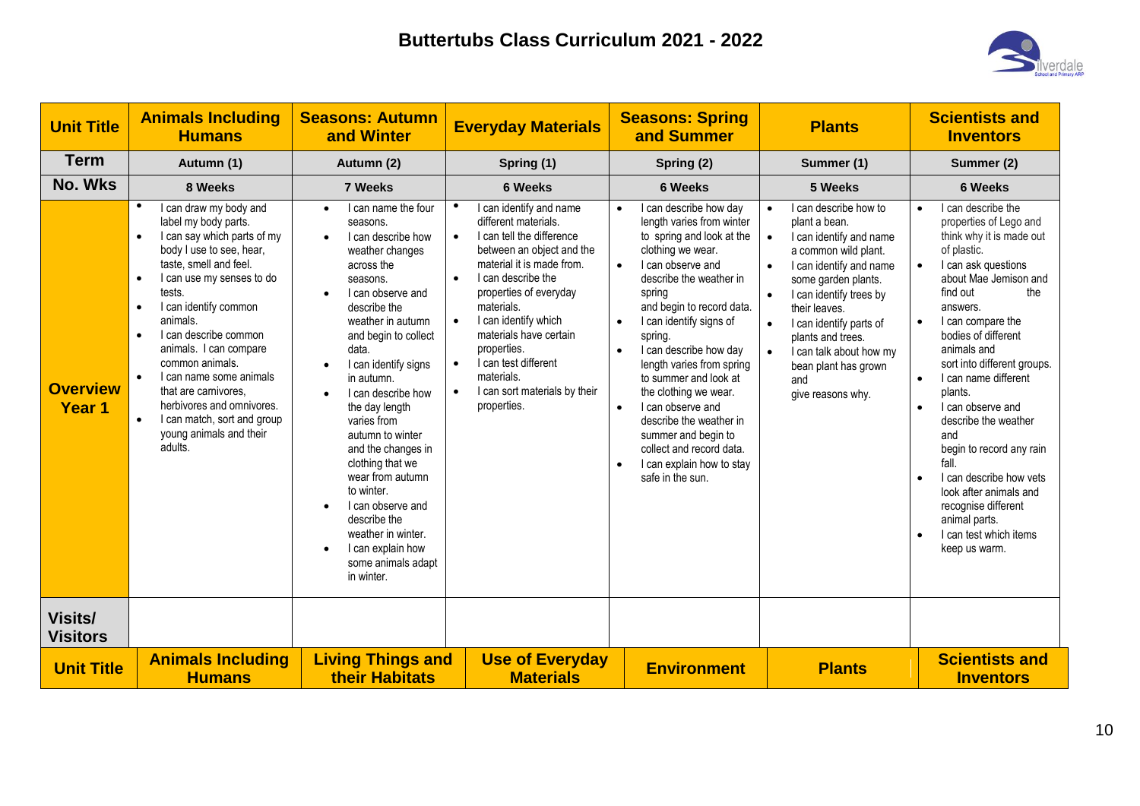

| <b>Unit Title</b>                    | <b>Animals Including</b><br><b>Humans</b>                                                                                                                                                                                                                                                                                                                                                                                                                                                                                | <b>Seasons: Autumn</b><br>and Winter                                                                                                                                                                                                                                                                                                                                                                                                                                                                                        | <b>Everyday Materials</b>                                                                                                                                                                                                                                                                                                                                                                                                                 | <b>Seasons: Spring</b><br>and Summer                                                                                                                                                                                                                                                                                                                                                                                                                                                                                                                                          | <b>Plants</b>                                                                                                                                                                                                                                                                                                                                                              | <b>Scientists and</b><br><b>Inventors</b>                                                                                                                                                                                                                                                                                                                                                                                                                                                                                                                                                             |
|--------------------------------------|--------------------------------------------------------------------------------------------------------------------------------------------------------------------------------------------------------------------------------------------------------------------------------------------------------------------------------------------------------------------------------------------------------------------------------------------------------------------------------------------------------------------------|-----------------------------------------------------------------------------------------------------------------------------------------------------------------------------------------------------------------------------------------------------------------------------------------------------------------------------------------------------------------------------------------------------------------------------------------------------------------------------------------------------------------------------|-------------------------------------------------------------------------------------------------------------------------------------------------------------------------------------------------------------------------------------------------------------------------------------------------------------------------------------------------------------------------------------------------------------------------------------------|-------------------------------------------------------------------------------------------------------------------------------------------------------------------------------------------------------------------------------------------------------------------------------------------------------------------------------------------------------------------------------------------------------------------------------------------------------------------------------------------------------------------------------------------------------------------------------|----------------------------------------------------------------------------------------------------------------------------------------------------------------------------------------------------------------------------------------------------------------------------------------------------------------------------------------------------------------------------|-------------------------------------------------------------------------------------------------------------------------------------------------------------------------------------------------------------------------------------------------------------------------------------------------------------------------------------------------------------------------------------------------------------------------------------------------------------------------------------------------------------------------------------------------------------------------------------------------------|
| <b>Term</b>                          | Autumn (1)                                                                                                                                                                                                                                                                                                                                                                                                                                                                                                               | Autumn (2)                                                                                                                                                                                                                                                                                                                                                                                                                                                                                                                  | Spring (1)                                                                                                                                                                                                                                                                                                                                                                                                                                | Spring (2)                                                                                                                                                                                                                                                                                                                                                                                                                                                                                                                                                                    | Summer (1)                                                                                                                                                                                                                                                                                                                                                                 | Summer (2)                                                                                                                                                                                                                                                                                                                                                                                                                                                                                                                                                                                            |
| <b>No. Wks</b>                       | 8 Weeks                                                                                                                                                                                                                                                                                                                                                                                                                                                                                                                  | 7 Weeks                                                                                                                                                                                                                                                                                                                                                                                                                                                                                                                     | <b>6 Weeks</b>                                                                                                                                                                                                                                                                                                                                                                                                                            | <b>6 Weeks</b>                                                                                                                                                                                                                                                                                                                                                                                                                                                                                                                                                                | 5 Weeks                                                                                                                                                                                                                                                                                                                                                                    | <b>6 Weeks</b>                                                                                                                                                                                                                                                                                                                                                                                                                                                                                                                                                                                        |
| <b>Overview</b><br>Year <sub>1</sub> | $\bullet$<br>I can draw my body and<br>label my body parts.<br>I can say which parts of my<br>$\bullet$<br>body I use to see, hear,<br>taste, smell and feel.<br>I can use my senses to do<br>$\bullet$<br>tests.<br>I can identify common<br>$\bullet$<br>animals.<br>I can describe common<br>$\bullet$<br>animals. I can compare<br>common animals.<br>I can name some animals<br>$\bullet$<br>that are carnivores.<br>herbivores and omnivores.<br>I can match, sort and group<br>young animals and their<br>adults. | I can name the four<br>$\bullet$<br>seasons.<br>I can describe how<br>weather changes<br>across the<br>seasons.<br>I can observe and<br>describe the<br>weather in autumn<br>and begin to collect<br>data.<br>I can identify signs<br>in autumn.<br>I can describe how<br>the day length<br>varies from<br>autumn to winter<br>and the changes in<br>clothing that we<br>wear from autumn<br>to winter.<br>I can observe and<br>describe the<br>weather in winter.<br>I can explain how<br>some animals adapt<br>in winter. | I can identify and name<br>$\bullet$<br>different materials.<br>I can tell the difference<br>$\bullet$<br>between an object and the<br>material it is made from.<br>I can describe the<br>$\bullet$<br>properties of everyday<br>materials.<br>I can identify which<br>$\bullet$<br>materials have certain<br>properties.<br>$\bullet$<br>I can test different<br>materials.<br>I can sort materials by their<br>$\bullet$<br>properties. | I can describe how day<br>$\bullet$<br>length varies from winter<br>to spring and look at the<br>clothing we wear.<br>I can observe and<br>$\bullet$<br>describe the weather in<br>spring<br>and begin to record data.<br>I can identify signs of<br>$\bullet$<br>spring.<br>I can describe how day<br>$\bullet$<br>length varies from spring<br>to summer and look at<br>the clothing we wear.<br>I can observe and<br>$\bullet$<br>describe the weather in<br>summer and begin to<br>collect and record data.<br>I can explain how to stay<br>$\bullet$<br>safe in the sun. | I can describe how to<br>$\bullet$<br>plant a bean.<br>$\bullet$<br>I can identify and name<br>a common wild plant.<br>I can identify and name<br>$\bullet$<br>some garden plants.<br>I can identify trees by<br>their leaves.<br>I can identify parts of<br>plants and trees.<br>I can talk about how my<br>$\bullet$<br>bean plant has grown<br>and<br>give reasons why. | I can describe the<br>$\bullet$<br>properties of Lego and<br>think why it is made out<br>of plastic.<br>I can ask questions<br>$\bullet$<br>about Mae Jemison and<br>find out<br>the<br>answers.<br>I can compare the<br>$\bullet$<br>bodies of different<br>animals and<br>sort into different groups.<br>I can name different<br>$\bullet$<br>plants.<br>I can observe and<br>$\bullet$<br>describe the weather<br>and<br>begin to record any rain<br>fall.<br>I can describe how vets<br>look after animals and<br>recognise different<br>animal parts.<br>I can test which items<br>keep us warm. |
| <b>Visits/</b><br><b>Visitors</b>    |                                                                                                                                                                                                                                                                                                                                                                                                                                                                                                                          |                                                                                                                                                                                                                                                                                                                                                                                                                                                                                                                             |                                                                                                                                                                                                                                                                                                                                                                                                                                           |                                                                                                                                                                                                                                                                                                                                                                                                                                                                                                                                                                               |                                                                                                                                                                                                                                                                                                                                                                            |                                                                                                                                                                                                                                                                                                                                                                                                                                                                                                                                                                                                       |
| <b>Unit Title</b>                    | <b>Animals Including</b><br><b>Humans</b>                                                                                                                                                                                                                                                                                                                                                                                                                                                                                | <b>Living Things and</b><br>their Habitats                                                                                                                                                                                                                                                                                                                                                                                                                                                                                  | <b>Use of Everyday</b><br><b>Materials</b>                                                                                                                                                                                                                                                                                                                                                                                                | <b>Environment</b>                                                                                                                                                                                                                                                                                                                                                                                                                                                                                                                                                            | <b>Plants</b>                                                                                                                                                                                                                                                                                                                                                              | <b>Scientists and</b><br><b>Inventors</b>                                                                                                                                                                                                                                                                                                                                                                                                                                                                                                                                                             |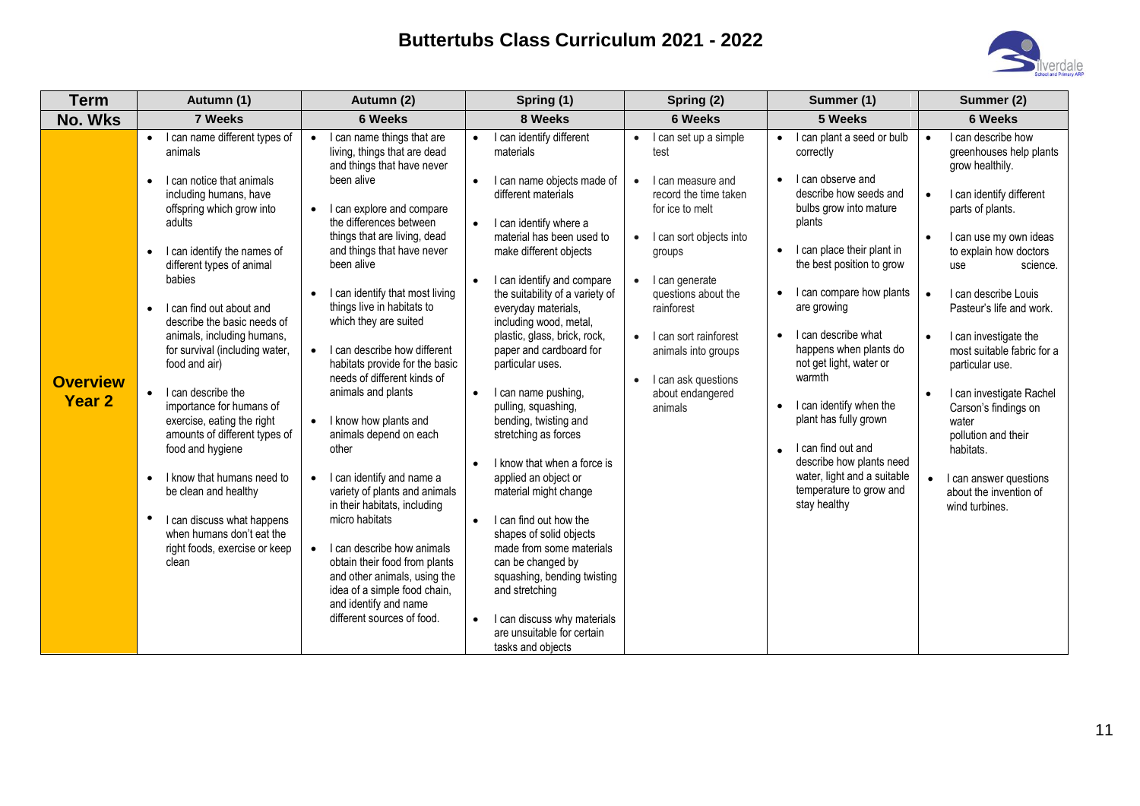

| <b>Term</b>                      | Autumn (1)                                                                                                                                                                                                                                                                                                                                                                                                                                                                                                                                                                                                                                                                                                | Autumn (2)                                                                                                                                                                                                                                                                                                                                                                                                                                                                                                                                                                                                                                                                                                   | Spring (1)                                                                                                                                                                                                                                                                                                                                                                                                                                                                                                                                                                                                                                                                          | Spring (2)                                                                                                                                                                                                                                                                                                                                                                     | Summer (1)                                                                                                                                                                                                                                                                                                                                                                                                                                                                                                                                    | Summer (2)                                                                                                                                                                                                                                                                                                                                                                                                                                                                                                                                                                 |
|----------------------------------|-----------------------------------------------------------------------------------------------------------------------------------------------------------------------------------------------------------------------------------------------------------------------------------------------------------------------------------------------------------------------------------------------------------------------------------------------------------------------------------------------------------------------------------------------------------------------------------------------------------------------------------------------------------------------------------------------------------|--------------------------------------------------------------------------------------------------------------------------------------------------------------------------------------------------------------------------------------------------------------------------------------------------------------------------------------------------------------------------------------------------------------------------------------------------------------------------------------------------------------------------------------------------------------------------------------------------------------------------------------------------------------------------------------------------------------|-------------------------------------------------------------------------------------------------------------------------------------------------------------------------------------------------------------------------------------------------------------------------------------------------------------------------------------------------------------------------------------------------------------------------------------------------------------------------------------------------------------------------------------------------------------------------------------------------------------------------------------------------------------------------------------|--------------------------------------------------------------------------------------------------------------------------------------------------------------------------------------------------------------------------------------------------------------------------------------------------------------------------------------------------------------------------------|-----------------------------------------------------------------------------------------------------------------------------------------------------------------------------------------------------------------------------------------------------------------------------------------------------------------------------------------------------------------------------------------------------------------------------------------------------------------------------------------------------------------------------------------------|----------------------------------------------------------------------------------------------------------------------------------------------------------------------------------------------------------------------------------------------------------------------------------------------------------------------------------------------------------------------------------------------------------------------------------------------------------------------------------------------------------------------------------------------------------------------------|
| <b>No. Wks</b>                   | 7 Weeks                                                                                                                                                                                                                                                                                                                                                                                                                                                                                                                                                                                                                                                                                                   | <b>6 Weeks</b>                                                                                                                                                                                                                                                                                                                                                                                                                                                                                                                                                                                                                                                                                               | 8 Weeks                                                                                                                                                                                                                                                                                                                                                                                                                                                                                                                                                                                                                                                                             | <b>6 Weeks</b>                                                                                                                                                                                                                                                                                                                                                                 | 5 Weeks                                                                                                                                                                                                                                                                                                                                                                                                                                                                                                                                       | <b>6 Weeks</b>                                                                                                                                                                                                                                                                                                                                                                                                                                                                                                                                                             |
| <b>Overview</b><br><b>Year 2</b> | I can name different types of<br>$\bullet$<br>animals<br>I can notice that animals<br>$\bullet$<br>including humans, have<br>offspring which grow into<br>adults<br>I can identify the names of<br>$\bullet$<br>different types of animal<br>babies<br>I can find out about and<br>$\bullet$<br>describe the basic needs of<br>animals, including humans,<br>for survival (including water,<br>food and air)<br>I can describe the<br>$\bullet$<br>importance for humans of<br>exercise, eating the right<br>amounts of different types of<br>food and hygiene<br>I know that humans need to<br>$\bullet$<br>be clean and healthy<br>$\bullet$<br>I can discuss what happens<br>when humans don't eat the | I can name things that are<br>living, things that are dead<br>and things that have never<br>been alive<br>I can explore and compare<br>$\bullet$<br>the differences between<br>things that are living, dead<br>and things that have never<br>been alive<br>I can identify that most living<br>things live in habitats to<br>which they are suited<br>I can describe how different<br>habitats provide for the basic<br>needs of different kinds of<br>animals and plants<br>I know how plants and<br>animals depend on each<br>other<br>I can identify and name a<br>$\bullet$<br>variety of plants and animals<br>in their habitats, including<br>micro habitats<br>I can describe how animals<br>$\bullet$ | I can identify different<br>materials<br>I can name objects made of<br>$\bullet$<br>different materials<br>I can identify where a<br>material has been used to<br>make different objects<br>I can identify and compare<br>the suitability of a variety of<br>everyday materials,<br>including wood, metal,<br>plastic, glass, brick, rock,<br>paper and cardboard for<br>particular uses.<br>I can name pushing,<br>$\bullet$<br>pulling, squashing,<br>bending, twisting and<br>stretching as forces<br>I know that when a force is<br>applied an object or<br>material might change<br>I can find out how the<br>$\bullet$<br>shapes of solid objects<br>made from some materials | I can set up a simple<br>$\bullet$<br>test<br>I can measure and<br>$\bullet$<br>record the time taken<br>for ice to melt<br>I can sort objects into<br>$\bullet$<br>groups<br>$\bullet$<br>I can generate<br>questions about the<br>rainforest<br>I can sort rainforest<br>$\bullet$<br>animals into groups<br>I can ask questions<br>$\bullet$<br>about endangered<br>animals | I can plant a seed or bulb<br>correctly<br>I can observe and<br>$\bullet$<br>describe how seeds and<br>bulbs grow into mature<br>plants<br>I can place their plant in<br>$\bullet$<br>the best position to grow<br>I can compare how plants<br>are growing<br>I can describe what<br>happens when plants do<br>not get light, water or<br>warmth<br>I can identify when the<br>$\bullet$<br>plant has fully grown<br>I can find out and<br>describe how plants need<br>water, light and a suitable<br>temperature to grow and<br>stay healthy | I can describe how<br>$\bullet$<br>greenhouses help plants<br>grow healthily.<br>$\bullet$<br>I can identify different<br>parts of plants.<br>$\bullet$<br>I can use my own ideas<br>to explain how doctors<br>science.<br>use<br>I can describe Louis<br>$\bullet$<br>Pasteur's life and work.<br>I can investigate the<br>$\bullet$<br>most suitable fabric for a<br>particular use.<br>I can investigate Rachel<br>$\bullet$<br>Carson's findings on<br>water<br>pollution and their<br>habitats.<br>I can answer questions<br>about the invention of<br>wind turbines. |
|                                  | right foods, exercise or keep<br>clean                                                                                                                                                                                                                                                                                                                                                                                                                                                                                                                                                                                                                                                                    | obtain their food from plants<br>and other animals, using the<br>idea of a simple food chain,<br>and identify and name<br>different sources of food.                                                                                                                                                                                                                                                                                                                                                                                                                                                                                                                                                         | can be changed by<br>squashing, bending twisting<br>and stretching<br>I can discuss why materials<br>$\bullet$<br>are unsuitable for certain<br>tasks and objects                                                                                                                                                                                                                                                                                                                                                                                                                                                                                                                   |                                                                                                                                                                                                                                                                                                                                                                                |                                                                                                                                                                                                                                                                                                                                                                                                                                                                                                                                               |                                                                                                                                                                                                                                                                                                                                                                                                                                                                                                                                                                            |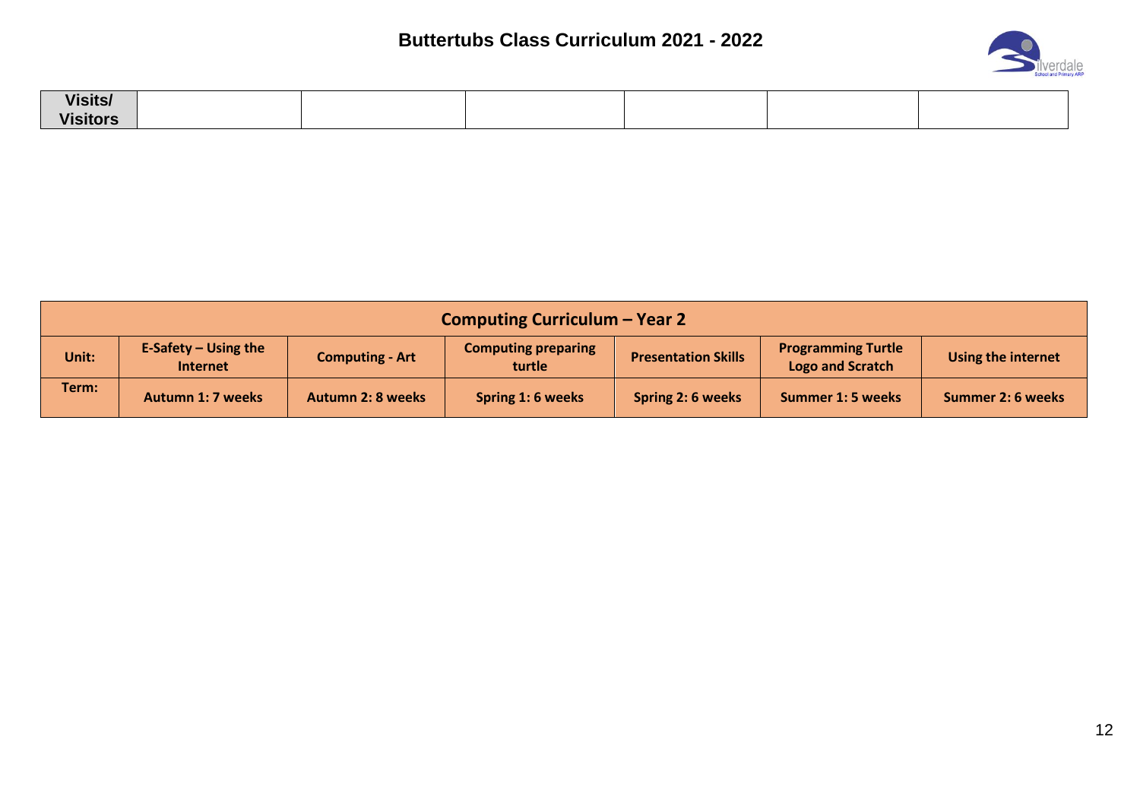

| <b>Visits/</b>  |  |  |  |
|-----------------|--|--|--|
| <b>Visitors</b> |  |  |  |

| Computing Curriculum - Year 2 |                                           |                          |                                      |                            |                                                      |                          |
|-------------------------------|-------------------------------------------|--------------------------|--------------------------------------|----------------------------|------------------------------------------------------|--------------------------|
| Unit:                         | E-Safety $-$ Using the<br><b>Internet</b> | <b>Computing - Art</b>   | <b>Computing preparing</b><br>turtle | <b>Presentation Skills</b> | <b>Programming Turtle</b><br><b>Logo and Scratch</b> | Using the internet       |
| Term:                         | Autumn 1: 7 weeks                         | <b>Autumn 2: 8 weeks</b> | Spring 1: 6 weeks                    | Spring 2: 6 weeks          | <b>Summer 1: 5 weeks</b>                             | <b>Summer 2: 6 weeks</b> |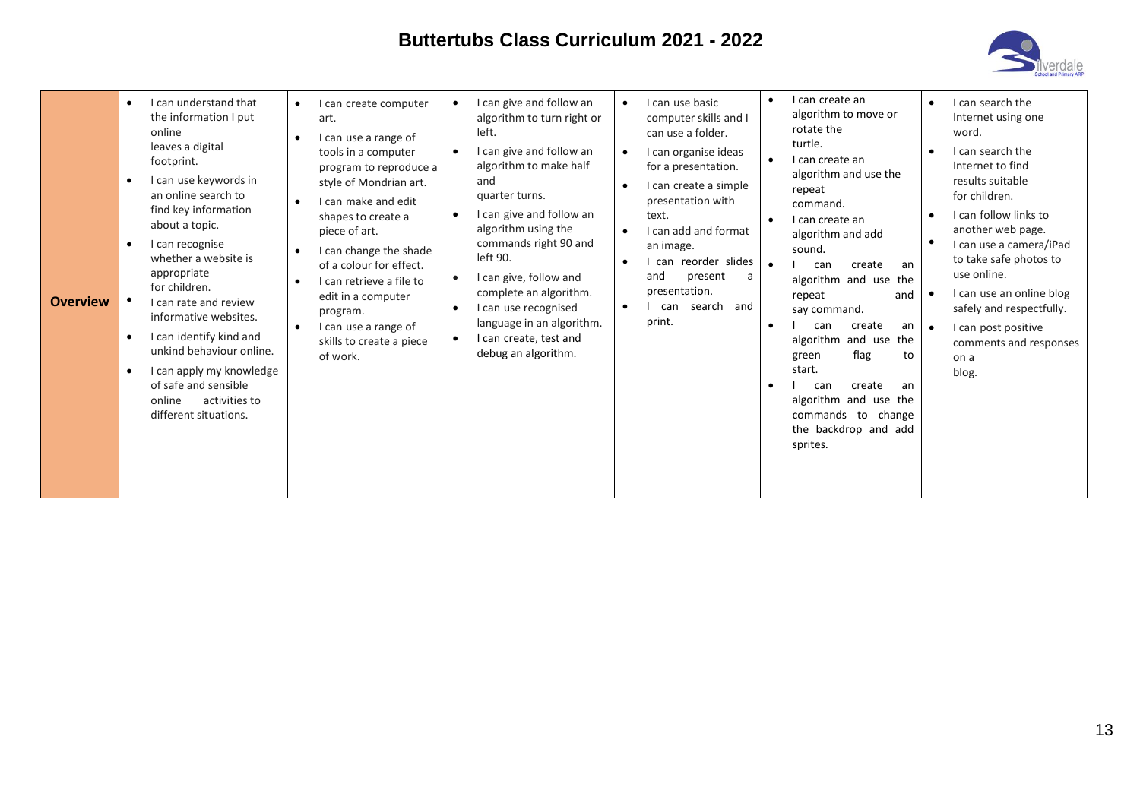

| <b>Overview</b> | I can understand that<br>$\bullet$<br>the information I put<br>online<br>leaves a digital<br>footprint.<br>I can use keywords in<br>an online search to<br>find key information<br>about a topic.<br>I can recognise<br>whether a website is<br>appropriate<br>for children.<br>I can rate and review<br>informative websites.<br>I can identify kind and<br>unkind behaviour online.<br>I can apply my knowledge<br>$\bullet$<br>of safe and sensible<br>activities to<br>online<br>different situations. | I can create computer<br>$\bullet$<br>art.<br>I can use a range of<br>tools in a computer<br>program to reproduce a<br>style of Mondrian art.<br>I can make and edit<br>shapes to create a<br>piece of art.<br>I can change the shade<br>of a colour for effect.<br>I can retrieve a file to<br>edit in a computer<br>program.<br>I can use a range of<br>skills to create a piece<br>of work. | I can give and follow an<br>algorithm to turn right or<br>left.<br>I can give and follow an<br>algorithm to make half<br>and<br>quarter turns.<br>I can give and follow an<br>algorithm using the<br>commands right 90 and<br>left 90.<br>I can give, follow and<br>complete an algorithm.<br>I can use recognised<br>language in an algorithm.<br>I can create, test and<br>debug an algorithm. | I can use basic<br>computer skills and I<br>can use a folder.<br>I can organise ideas<br>$\bullet$<br>for a presentation.<br>I can create a simple<br>$\bullet$<br>presentation with<br>text.<br>I can add and format<br>an image.<br>I can reorder slides<br>and<br>present<br>a<br>presentation.<br>search and<br>can<br>٠<br>print. | I can create an<br>algorithm to move or<br>rotate the<br>turtle.<br>I can create an<br>algorithm and use the<br>repeat<br>command.<br>I can create an<br>algorithm and add<br>sound.<br>create<br>can<br>an<br>algorithm and use the<br>repeat<br>and<br>say command.<br>create<br>can<br>an<br>algorithm and use the<br>flag<br>green<br>to<br>start.<br>create<br>can<br>an<br>algorithm and use the<br>commands to change<br>the backdrop and add<br>sprites. | I can search the<br>$\bullet$<br>Internet using one<br>word.<br>I can search the<br>Internet to find<br>results suitable<br>for children.<br>I can follow links to<br>another web page.<br>$\bullet$<br>I can use a camera/iPad<br>to take safe photos to<br>use online.<br>I can use an online blog<br>safely and respectfully.<br>I can post positive<br>$\bullet$<br>comments and responses<br>on a<br>blog. |
|-----------------|------------------------------------------------------------------------------------------------------------------------------------------------------------------------------------------------------------------------------------------------------------------------------------------------------------------------------------------------------------------------------------------------------------------------------------------------------------------------------------------------------------|------------------------------------------------------------------------------------------------------------------------------------------------------------------------------------------------------------------------------------------------------------------------------------------------------------------------------------------------------------------------------------------------|--------------------------------------------------------------------------------------------------------------------------------------------------------------------------------------------------------------------------------------------------------------------------------------------------------------------------------------------------------------------------------------------------|----------------------------------------------------------------------------------------------------------------------------------------------------------------------------------------------------------------------------------------------------------------------------------------------------------------------------------------|------------------------------------------------------------------------------------------------------------------------------------------------------------------------------------------------------------------------------------------------------------------------------------------------------------------------------------------------------------------------------------------------------------------------------------------------------------------|-----------------------------------------------------------------------------------------------------------------------------------------------------------------------------------------------------------------------------------------------------------------------------------------------------------------------------------------------------------------------------------------------------------------|
|-----------------|------------------------------------------------------------------------------------------------------------------------------------------------------------------------------------------------------------------------------------------------------------------------------------------------------------------------------------------------------------------------------------------------------------------------------------------------------------------------------------------------------------|------------------------------------------------------------------------------------------------------------------------------------------------------------------------------------------------------------------------------------------------------------------------------------------------------------------------------------------------------------------------------------------------|--------------------------------------------------------------------------------------------------------------------------------------------------------------------------------------------------------------------------------------------------------------------------------------------------------------------------------------------------------------------------------------------------|----------------------------------------------------------------------------------------------------------------------------------------------------------------------------------------------------------------------------------------------------------------------------------------------------------------------------------------|------------------------------------------------------------------------------------------------------------------------------------------------------------------------------------------------------------------------------------------------------------------------------------------------------------------------------------------------------------------------------------------------------------------------------------------------------------------|-----------------------------------------------------------------------------------------------------------------------------------------------------------------------------------------------------------------------------------------------------------------------------------------------------------------------------------------------------------------------------------------------------------------|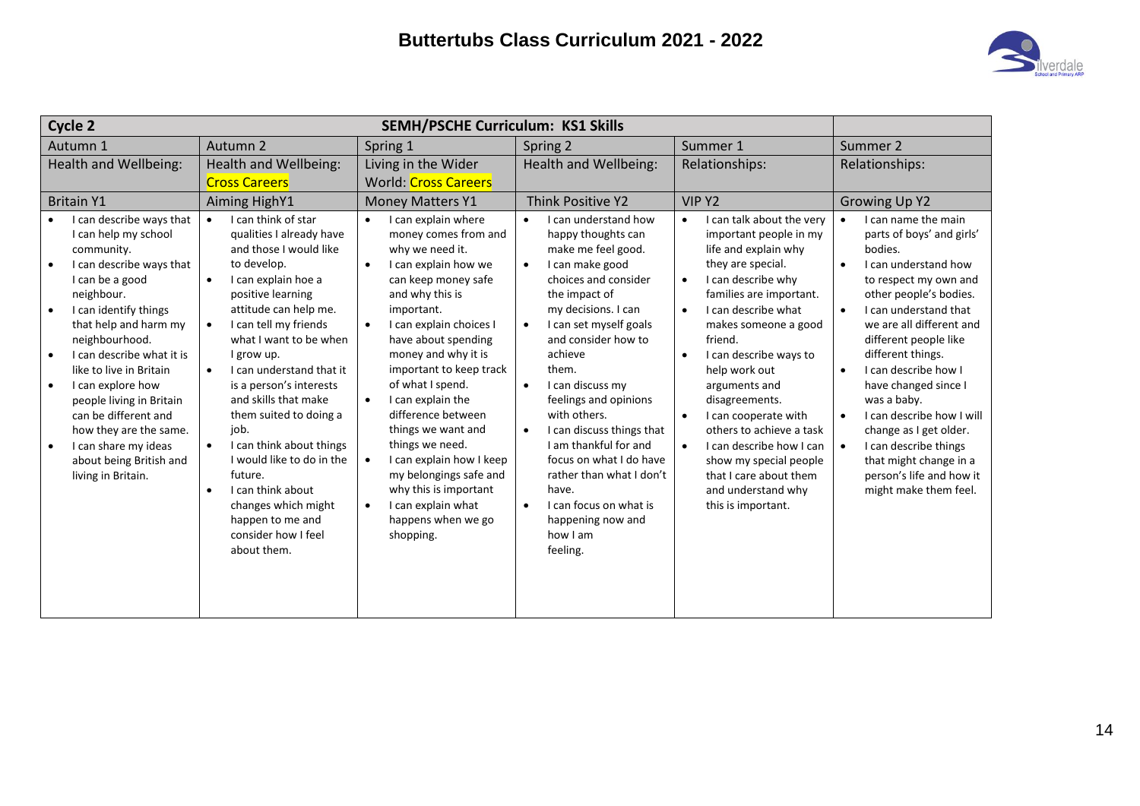

| Cycle 2                                                                                                                                                                                                                                                                                                                                                                                                                                                                    |                                                                                                                                                                                                                                                                                                                                                                                                                                                                                                                                                                                                         | <b>SEMH/PSCHE Curriculum: KS1 Skills</b>                                                                                                                                                                                                                                                                                                                                                                                                                                                                                                                                         |                                                                                                                                                                                                                                                                                                                                                                                                                                                                                                                                                                  |                                                                                                                                                                                                                                                                                                                                                                                                                                                                                                                                                         |                                                                                                                                                                                                                                                                                                                                                                                                                                                                                                                                          |
|----------------------------------------------------------------------------------------------------------------------------------------------------------------------------------------------------------------------------------------------------------------------------------------------------------------------------------------------------------------------------------------------------------------------------------------------------------------------------|---------------------------------------------------------------------------------------------------------------------------------------------------------------------------------------------------------------------------------------------------------------------------------------------------------------------------------------------------------------------------------------------------------------------------------------------------------------------------------------------------------------------------------------------------------------------------------------------------------|----------------------------------------------------------------------------------------------------------------------------------------------------------------------------------------------------------------------------------------------------------------------------------------------------------------------------------------------------------------------------------------------------------------------------------------------------------------------------------------------------------------------------------------------------------------------------------|------------------------------------------------------------------------------------------------------------------------------------------------------------------------------------------------------------------------------------------------------------------------------------------------------------------------------------------------------------------------------------------------------------------------------------------------------------------------------------------------------------------------------------------------------------------|---------------------------------------------------------------------------------------------------------------------------------------------------------------------------------------------------------------------------------------------------------------------------------------------------------------------------------------------------------------------------------------------------------------------------------------------------------------------------------------------------------------------------------------------------------|------------------------------------------------------------------------------------------------------------------------------------------------------------------------------------------------------------------------------------------------------------------------------------------------------------------------------------------------------------------------------------------------------------------------------------------------------------------------------------------------------------------------------------------|
| Autumn 1                                                                                                                                                                                                                                                                                                                                                                                                                                                                   | Autumn 2                                                                                                                                                                                                                                                                                                                                                                                                                                                                                                                                                                                                | Spring 1                                                                                                                                                                                                                                                                                                                                                                                                                                                                                                                                                                         |                                                                                                                                                                                                                                                                                                                                                                                                                                                                                                                                                                  | Summer 1                                                                                                                                                                                                                                                                                                                                                                                                                                                                                                                                                | Summer 2                                                                                                                                                                                                                                                                                                                                                                                                                                                                                                                                 |
| Health and Wellbeing:                                                                                                                                                                                                                                                                                                                                                                                                                                                      | Health and Wellbeing:<br><b>Cross Careers</b>                                                                                                                                                                                                                                                                                                                                                                                                                                                                                                                                                           | Living in the Wider<br><b>World: Cross Careers</b>                                                                                                                                                                                                                                                                                                                                                                                                                                                                                                                               | <b>Health and Wellbeing:</b>                                                                                                                                                                                                                                                                                                                                                                                                                                                                                                                                     | Relationships:                                                                                                                                                                                                                                                                                                                                                                                                                                                                                                                                          | Relationships:                                                                                                                                                                                                                                                                                                                                                                                                                                                                                                                           |
| <b>Britain Y1</b>                                                                                                                                                                                                                                                                                                                                                                                                                                                          | <b>Aiming HighY1</b>                                                                                                                                                                                                                                                                                                                                                                                                                                                                                                                                                                                    | <b>Money Matters Y1</b>                                                                                                                                                                                                                                                                                                                                                                                                                                                                                                                                                          | <b>Think Positive Y2</b>                                                                                                                                                                                                                                                                                                                                                                                                                                                                                                                                         | VIP <sub>Y2</sub>                                                                                                                                                                                                                                                                                                                                                                                                                                                                                                                                       |                                                                                                                                                                                                                                                                                                                                                                                                                                                                                                                                          |
| I can describe ways that<br>I can help my school<br>community.<br>I can describe ways that<br>I can be a good<br>neighbour.<br>I can identify things<br>$\bullet$<br>that help and harm my<br>neighbourhood.<br>I can describe what it is<br>like to live in Britain<br>I can explore how<br>$\bullet$<br>people living in Britain<br>can be different and<br>how they are the same.<br>I can share my ideas<br>$\bullet$<br>about being British and<br>living in Britain. | I can think of star<br>$\bullet$<br>qualities I already have<br>and those I would like<br>to develop.<br>I can explain hoe a<br>$\bullet$<br>positive learning<br>attitude can help me.<br>I can tell my friends<br>$\bullet$<br>what I want to be when<br>I grow up.<br>I can understand that it<br>$\bullet$<br>is a person's interests<br>and skills that make<br>them suited to doing a<br>job.<br>I can think about things<br>$\bullet$<br>I would like to do in the<br>future.<br>I can think about<br>$\bullet$<br>changes which might<br>happen to me and<br>consider how I feel<br>about them. | I can explain where<br>$\bullet$<br>money comes from and<br>why we need it.<br>I can explain how we<br>$\bullet$<br>can keep money safe<br>and why this is<br>important.<br>I can explain choices I<br>$\bullet$<br>have about spending<br>money and why it is<br>important to keep track<br>of what I spend.<br>I can explain the<br>$\bullet$<br>difference between<br>things we want and<br>things we need.<br>I can explain how I keep<br>$\bullet$<br>my belongings safe and<br>why this is important<br>I can explain what<br>$\bullet$<br>happens when we go<br>shopping. | I can understand how<br>$\bullet$<br>happy thoughts can<br>make me feel good.<br>I can make good<br>$\bullet$<br>choices and consider<br>the impact of<br>my decisions. I can<br>I can set myself goals<br>$\bullet$<br>and consider how to<br>achieve<br>them.<br>I can discuss my<br>$\bullet$<br>feelings and opinions<br>with others.<br>I can discuss things that<br>$\bullet$<br>I am thankful for and<br>focus on what I do have<br>rather than what I don't<br>have.<br>I can focus on what is<br>$\bullet$<br>happening now and<br>how I am<br>feeling. | I can talk about the very<br>$\bullet$<br>important people in my<br>life and explain why<br>they are special.<br>I can describe why<br>$\bullet$<br>families are important.<br>I can describe what<br>$\bullet$<br>makes someone a good<br>friend.<br>I can describe ways to<br>$\bullet$<br>help work out<br>arguments and<br>disagreements.<br>I can cooperate with<br>$\bullet$<br>others to achieve a task<br>I can describe how I can<br>$\bullet$<br>show my special people<br>that I care about them<br>and understand why<br>this is important. | I can name the main<br>$\bullet$<br>parts of boys' and girls'<br>bodies.<br>I can understand how<br>$\bullet$<br>to respect my own and<br>other people's bodies.<br>I can understand that<br>$\bullet$<br>we are all different and<br>different people like<br>different things.<br>I can describe how I<br>$\bullet$<br>have changed since I<br>was a baby.<br>I can describe how I will<br>$\bullet$<br>change as I get older.<br>I can describe things<br>that might change in a<br>person's life and how it<br>might make them feel. |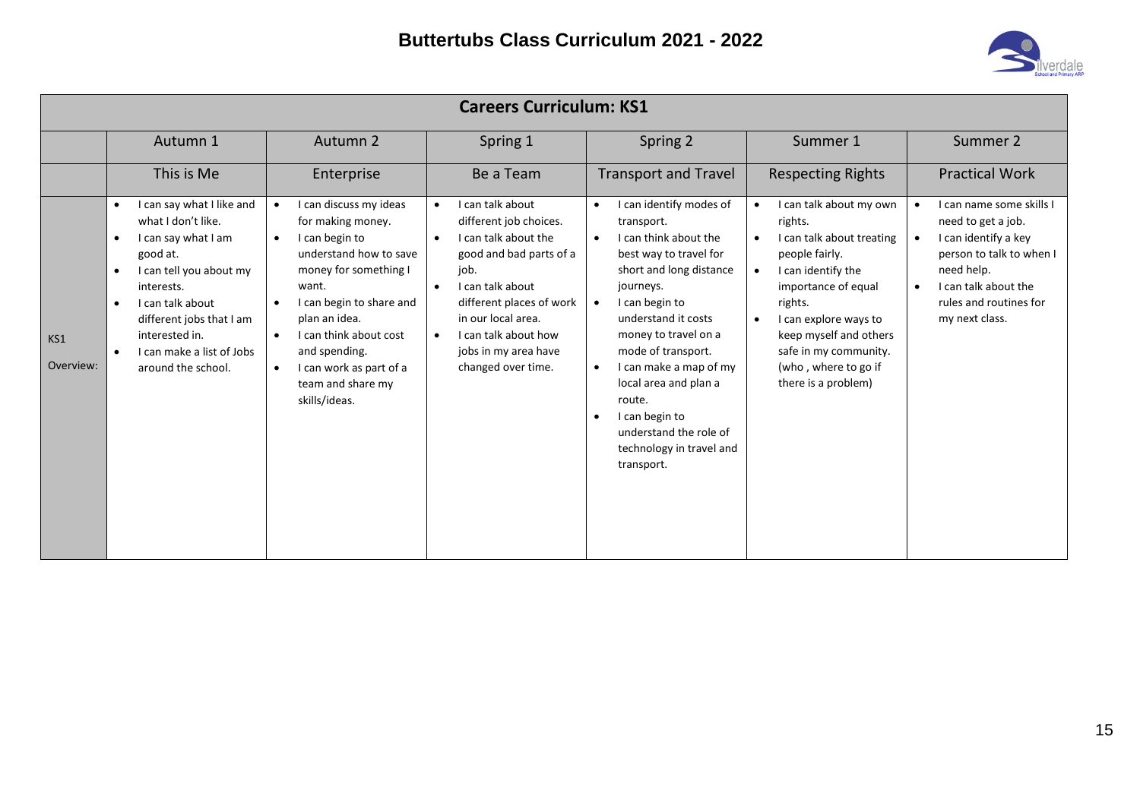

|                  | <b>Careers Curriculum: KS1</b>                                                                                                                                                                                                                                                                                    |                                                                                                                                                                                                                                                                                                                                        |                                                                                                                                                                                                                                                                                          |                                                                                                                                                                                                                                                                                                                                                                                                                                             |                                                                                                                                                                                                                                                                                                             |                                                                                                                                                                                      |
|------------------|-------------------------------------------------------------------------------------------------------------------------------------------------------------------------------------------------------------------------------------------------------------------------------------------------------------------|----------------------------------------------------------------------------------------------------------------------------------------------------------------------------------------------------------------------------------------------------------------------------------------------------------------------------------------|------------------------------------------------------------------------------------------------------------------------------------------------------------------------------------------------------------------------------------------------------------------------------------------|---------------------------------------------------------------------------------------------------------------------------------------------------------------------------------------------------------------------------------------------------------------------------------------------------------------------------------------------------------------------------------------------------------------------------------------------|-------------------------------------------------------------------------------------------------------------------------------------------------------------------------------------------------------------------------------------------------------------------------------------------------------------|--------------------------------------------------------------------------------------------------------------------------------------------------------------------------------------|
|                  | Autumn 1                                                                                                                                                                                                                                                                                                          | Autumn 2                                                                                                                                                                                                                                                                                                                               | Spring 1                                                                                                                                                                                                                                                                                 | Spring 2                                                                                                                                                                                                                                                                                                                                                                                                                                    | Summer 1                                                                                                                                                                                                                                                                                                    | Summer 2                                                                                                                                                                             |
|                  | This is Me                                                                                                                                                                                                                                                                                                        | Enterprise                                                                                                                                                                                                                                                                                                                             | Be a Team                                                                                                                                                                                                                                                                                | <b>Transport and Travel</b>                                                                                                                                                                                                                                                                                                                                                                                                                 | <b>Respecting Rights</b>                                                                                                                                                                                                                                                                                    | <b>Practical Work</b>                                                                                                                                                                |
| KS1<br>Overview: | I can say what I like and<br>$\bullet$<br>what I don't like.<br>I can say what I am<br>$\bullet$<br>good at.<br>I can tell you about my<br>$\bullet$<br>interests.<br>I can talk about<br>$\bullet$<br>different jobs that I am<br>interested in.<br>I can make a list of Jobs<br>$\bullet$<br>around the school. | I can discuss my ideas<br>$\bullet$<br>for making money.<br>I can begin to<br>$\bullet$<br>understand how to save<br>money for something I<br>want.<br>I can begin to share and<br>plan an idea.<br>I can think about cost<br>$\bullet$<br>and spending.<br>I can work as part of a<br>$\bullet$<br>team and share my<br>skills/ideas. | I can talk about<br>$\bullet$<br>different job choices.<br>I can talk about the<br>$\bullet$<br>good and bad parts of a<br>job.<br>I can talk about<br>$\bullet$<br>different places of work<br>in our local area.<br>I can talk about how<br>jobs in my area have<br>changed over time. | I can identify modes of<br>$\bullet$<br>transport.<br>I can think about the<br>$\bullet$<br>best way to travel for<br>short and long distance<br>journeys.<br>I can begin to<br>$\bullet$<br>understand it costs<br>money to travel on a<br>mode of transport.<br>I can make a map of my<br>$\bullet$<br>local area and plan a<br>route.<br>I can begin to<br>$\bullet$<br>understand the role of<br>technology in travel and<br>transport. | I can talk about my own<br>rights.<br>I can talk about treating<br>$\bullet$<br>people fairly.<br>I can identify the<br>$\bullet$<br>importance of equal<br>rights.<br>I can explore ways to<br>$\bullet$<br>keep myself and others<br>safe in my community.<br>(who, where to go if<br>there is a problem) | I can name some skills I<br>need to get a job.<br>I can identify a key<br>person to talk to when I<br>need help.<br>I can talk about the<br>rules and routines for<br>my next class. |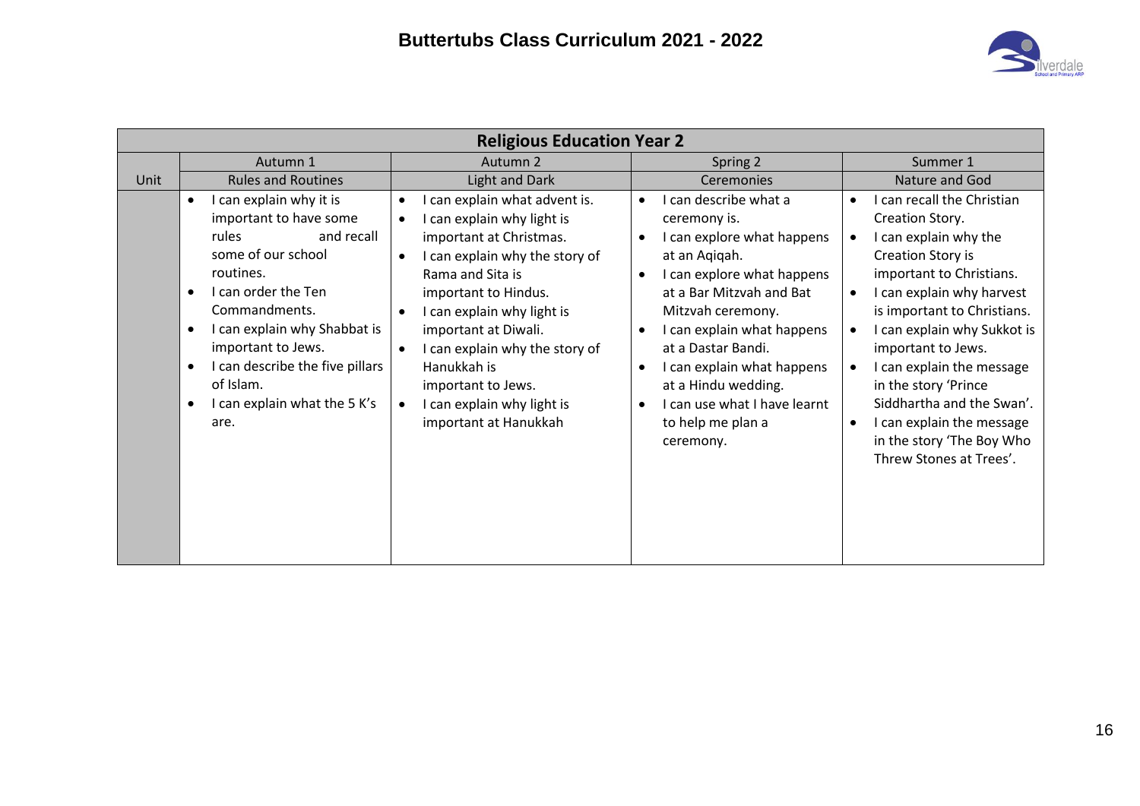

|      | <b>Religious Education Year 2</b>                                                                                                                                                                                                                                                                              |                                                                                                                                                                                                                                                                                                                                                        |                                                                                                                                                                                                                                                                                                                                                                                                                 |                                                                                                                                                                                                                                                                                                                                                                                                                                                                     |  |  |  |
|------|----------------------------------------------------------------------------------------------------------------------------------------------------------------------------------------------------------------------------------------------------------------------------------------------------------------|--------------------------------------------------------------------------------------------------------------------------------------------------------------------------------------------------------------------------------------------------------------------------------------------------------------------------------------------------------|-----------------------------------------------------------------------------------------------------------------------------------------------------------------------------------------------------------------------------------------------------------------------------------------------------------------------------------------------------------------------------------------------------------------|---------------------------------------------------------------------------------------------------------------------------------------------------------------------------------------------------------------------------------------------------------------------------------------------------------------------------------------------------------------------------------------------------------------------------------------------------------------------|--|--|--|
|      | Autumn 1                                                                                                                                                                                                                                                                                                       | Autumn 2                                                                                                                                                                                                                                                                                                                                               | Spring 2                                                                                                                                                                                                                                                                                                                                                                                                        | Summer 1                                                                                                                                                                                                                                                                                                                                                                                                                                                            |  |  |  |
| Unit | <b>Rules and Routines</b>                                                                                                                                                                                                                                                                                      | Light and Dark                                                                                                                                                                                                                                                                                                                                         | Ceremonies                                                                                                                                                                                                                                                                                                                                                                                                      | Nature and God                                                                                                                                                                                                                                                                                                                                                                                                                                                      |  |  |  |
|      | I can explain why it is<br>$\bullet$<br>important to have some<br>and recall<br>rules<br>some of our school<br>routines.<br>I can order the Ten<br>Commandments.<br>I can explain why Shabbat is<br>important to Jews.<br>I can describe the five pillars<br>of Islam.<br>I can explain what the 5 K's<br>are. | can explain what advent is.<br>I can explain why light is<br>important at Christmas.<br>I can explain why the story of<br>Rama and Sita is<br>important to Hindus.<br>I can explain why light is<br>important at Diwali.<br>I can explain why the story of<br>Hanukkah is<br>important to Jews.<br>I can explain why light is<br>important at Hanukkah | I can describe what a<br>$\bullet$<br>ceremony is.<br>I can explore what happens<br>at an Aqiqah.<br>I can explore what happens<br>$\bullet$<br>at a Bar Mitzvah and Bat<br>Mitzvah ceremony.<br>I can explain what happens<br>$\bullet$<br>at a Dastar Bandi.<br>I can explain what happens<br>$\bullet$<br>at a Hindu wedding.<br>I can use what I have learnt<br>$\bullet$<br>to help me plan a<br>ceremony. | I can recall the Christian<br>Creation Story.<br>I can explain why the<br>$\bullet$<br>Creation Story is<br>important to Christians.<br>I can explain why harvest<br>$\bullet$<br>is important to Christians.<br>I can explain why Sukkot is<br>important to Jews.<br>I can explain the message<br>$\bullet$<br>in the story 'Prince<br>Siddhartha and the Swan'.<br>I can explain the message<br>$\bullet$<br>in the story 'The Boy Who<br>Threw Stones at Trees'. |  |  |  |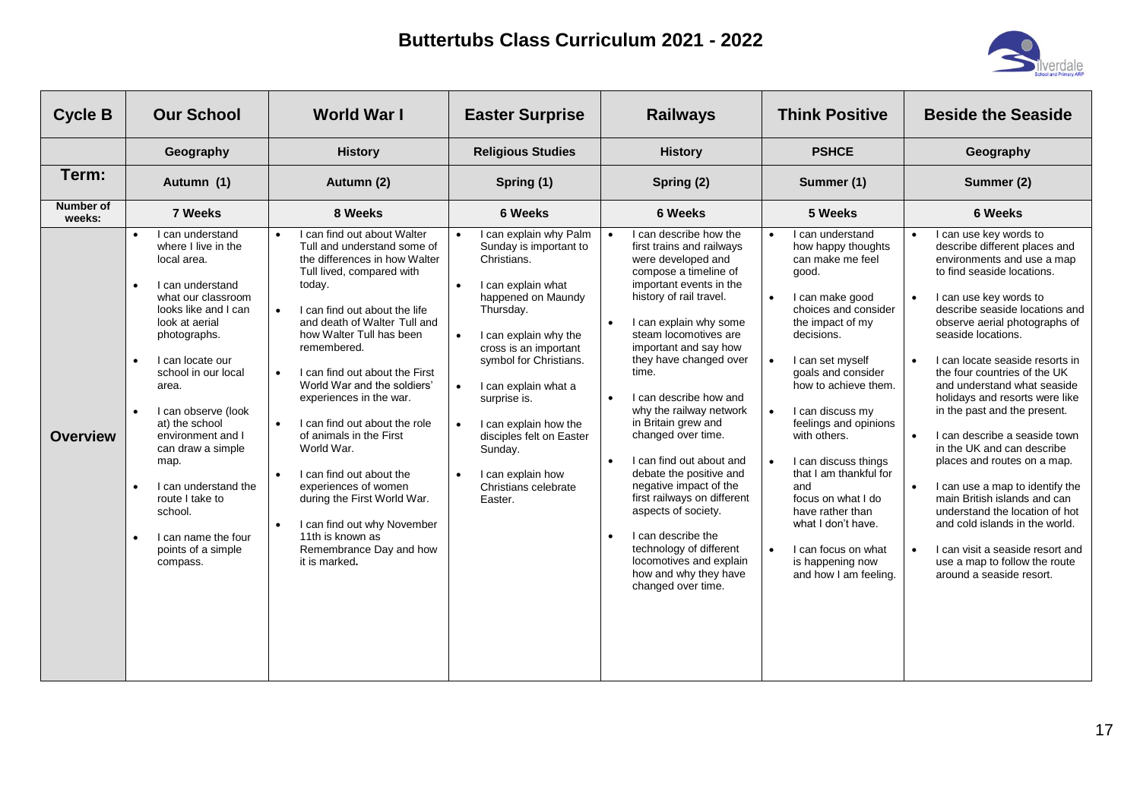

| <b>Cycle B</b>      | <b>Our School</b>                                                                                                                                                                                                                                                                                                                                                                                                                     | World War I                                                                                                                                                                                                                                                                                                                                                                                                                                                                                                                                                                                                                                                             | <b>Easter Surprise</b>                                                                                                                                                                                                                                                                                                                                                            | <b>Railways</b>                                                                                                                                                                                                                                                                                                                                                                                                                                                                                                                                                                                                                                                                    | <b>Think Positive</b>                                                                                                                                                                                                                                                                                                                                                                                                                                                                                                                         | <b>Beside the Seaside</b>                                                                                                                                                                                                                                                                                                                                                                                                                                                                                                                                                                                                                                                                                                                                                                                                      |
|---------------------|---------------------------------------------------------------------------------------------------------------------------------------------------------------------------------------------------------------------------------------------------------------------------------------------------------------------------------------------------------------------------------------------------------------------------------------|-------------------------------------------------------------------------------------------------------------------------------------------------------------------------------------------------------------------------------------------------------------------------------------------------------------------------------------------------------------------------------------------------------------------------------------------------------------------------------------------------------------------------------------------------------------------------------------------------------------------------------------------------------------------------|-----------------------------------------------------------------------------------------------------------------------------------------------------------------------------------------------------------------------------------------------------------------------------------------------------------------------------------------------------------------------------------|------------------------------------------------------------------------------------------------------------------------------------------------------------------------------------------------------------------------------------------------------------------------------------------------------------------------------------------------------------------------------------------------------------------------------------------------------------------------------------------------------------------------------------------------------------------------------------------------------------------------------------------------------------------------------------|-----------------------------------------------------------------------------------------------------------------------------------------------------------------------------------------------------------------------------------------------------------------------------------------------------------------------------------------------------------------------------------------------------------------------------------------------------------------------------------------------------------------------------------------------|--------------------------------------------------------------------------------------------------------------------------------------------------------------------------------------------------------------------------------------------------------------------------------------------------------------------------------------------------------------------------------------------------------------------------------------------------------------------------------------------------------------------------------------------------------------------------------------------------------------------------------------------------------------------------------------------------------------------------------------------------------------------------------------------------------------------------------|
|                     | Geography                                                                                                                                                                                                                                                                                                                                                                                                                             | <b>History</b>                                                                                                                                                                                                                                                                                                                                                                                                                                                                                                                                                                                                                                                          | <b>Religious Studies</b>                                                                                                                                                                                                                                                                                                                                                          | <b>History</b>                                                                                                                                                                                                                                                                                                                                                                                                                                                                                                                                                                                                                                                                     | <b>PSHCE</b>                                                                                                                                                                                                                                                                                                                                                                                                                                                                                                                                  | Geography                                                                                                                                                                                                                                                                                                                                                                                                                                                                                                                                                                                                                                                                                                                                                                                                                      |
| Term:               | Autumn (1)                                                                                                                                                                                                                                                                                                                                                                                                                            | Autumn (2)                                                                                                                                                                                                                                                                                                                                                                                                                                                                                                                                                                                                                                                              | Spring (1)                                                                                                                                                                                                                                                                                                                                                                        | Spring (2)                                                                                                                                                                                                                                                                                                                                                                                                                                                                                                                                                                                                                                                                         | Summer (1)                                                                                                                                                                                                                                                                                                                                                                                                                                                                                                                                    | Summer (2)                                                                                                                                                                                                                                                                                                                                                                                                                                                                                                                                                                                                                                                                                                                                                                                                                     |
| Number of<br>weeks: | 7 Weeks                                                                                                                                                                                                                                                                                                                                                                                                                               | 8 Weeks                                                                                                                                                                                                                                                                                                                                                                                                                                                                                                                                                                                                                                                                 | <b>6 Weeks</b>                                                                                                                                                                                                                                                                                                                                                                    | <b>6 Weeks</b>                                                                                                                                                                                                                                                                                                                                                                                                                                                                                                                                                                                                                                                                     | 5 Weeks                                                                                                                                                                                                                                                                                                                                                                                                                                                                                                                                       | <b>6 Weeks</b>                                                                                                                                                                                                                                                                                                                                                                                                                                                                                                                                                                                                                                                                                                                                                                                                                 |
| Overview            | I can understand<br>where I live in the<br>local area.<br>I can understand<br>$\bullet$<br>what our classroom<br>looks like and I can<br>look at aerial<br>photographs.<br>I can locate our<br>school in our local<br>area.<br>I can observe (look<br>at) the school<br>environment and I<br>can draw a simple<br>map.<br>I can understand the<br>route I take to<br>school.<br>I can name the four<br>points of a simple<br>compass. | I can find out about Walter<br>Tull and understand some of<br>the differences in how Walter<br>Tull lived, compared with<br>today.<br>I can find out about the life<br>$\bullet$<br>and death of Walter Tull and<br>how Walter Tull has been<br>remembered.<br>I can find out about the First<br>$\bullet$<br>World War and the soldiers'<br>experiences in the war.<br>I can find out about the role<br>$\bullet$<br>of animals in the First<br>World War.<br>I can find out about the<br>$\bullet$<br>experiences of women<br>during the First World War.<br>I can find out why November<br>$\bullet$<br>11th is known as<br>Remembrance Day and how<br>it is marked. | I can explain why Palm<br>Sunday is important to<br>Christians.<br>I can explain what<br>happened on Maundy<br>Thursday.<br>I can explain why the<br>$\bullet$<br>cross is an important<br>symbol for Christians.<br>I can explain what a<br>surprise is.<br>I can explain how the<br>disciples felt on Easter<br>Sunday.<br>I can explain how<br>Christians celebrate<br>Easter. | I can describe how the<br>first trains and railways<br>were developed and<br>compose a timeline of<br>important events in the<br>history of rail travel.<br>I can explain why some<br>steam locomotives are<br>important and say how<br>they have changed over<br>time.<br>I can describe how and<br>$\bullet$<br>why the railway network<br>in Britain grew and<br>changed over time.<br>$\bullet$<br>I can find out about and<br>debate the positive and<br>negative impact of the<br>first railways on different<br>aspects of society.<br>I can describe the<br>$\bullet$<br>technology of different<br>locomotives and explain<br>how and why they have<br>changed over time. | I can understand<br>$\bullet$<br>how happy thoughts<br>can make me feel<br>good.<br>I can make good<br>$\bullet$<br>choices and consider<br>the impact of my<br>decisions.<br>I can set myself<br>$\bullet$<br>goals and consider<br>how to achieve them.<br>I can discuss my<br>$\bullet$<br>feelings and opinions<br>with others.<br>I can discuss things<br>that I am thankful for<br>and<br>focus on what I do<br>have rather than<br>what I don't have.<br>I can focus on what<br>$\bullet$<br>is happening now<br>and how I am feeling. | I can use key words to<br>$\bullet$<br>describe different places and<br>environments and use a map<br>to find seaside locations.<br>I can use key words to<br>$\bullet$<br>describe seaside locations and<br>observe aerial photographs of<br>seaside locations.<br>I can locate seaside resorts in<br>$\bullet$<br>the four countries of the UK<br>and understand what seaside<br>holidays and resorts were like<br>in the past and the present.<br>I can describe a seaside town<br>$\bullet$<br>in the UK and can describe<br>places and routes on a map.<br>I can use a map to identify the<br>$\bullet$<br>main British islands and can<br>understand the location of hot<br>and cold islands in the world.<br>I can visit a seaside resort and<br>$\bullet$<br>use a map to follow the route<br>around a seaside resort. |